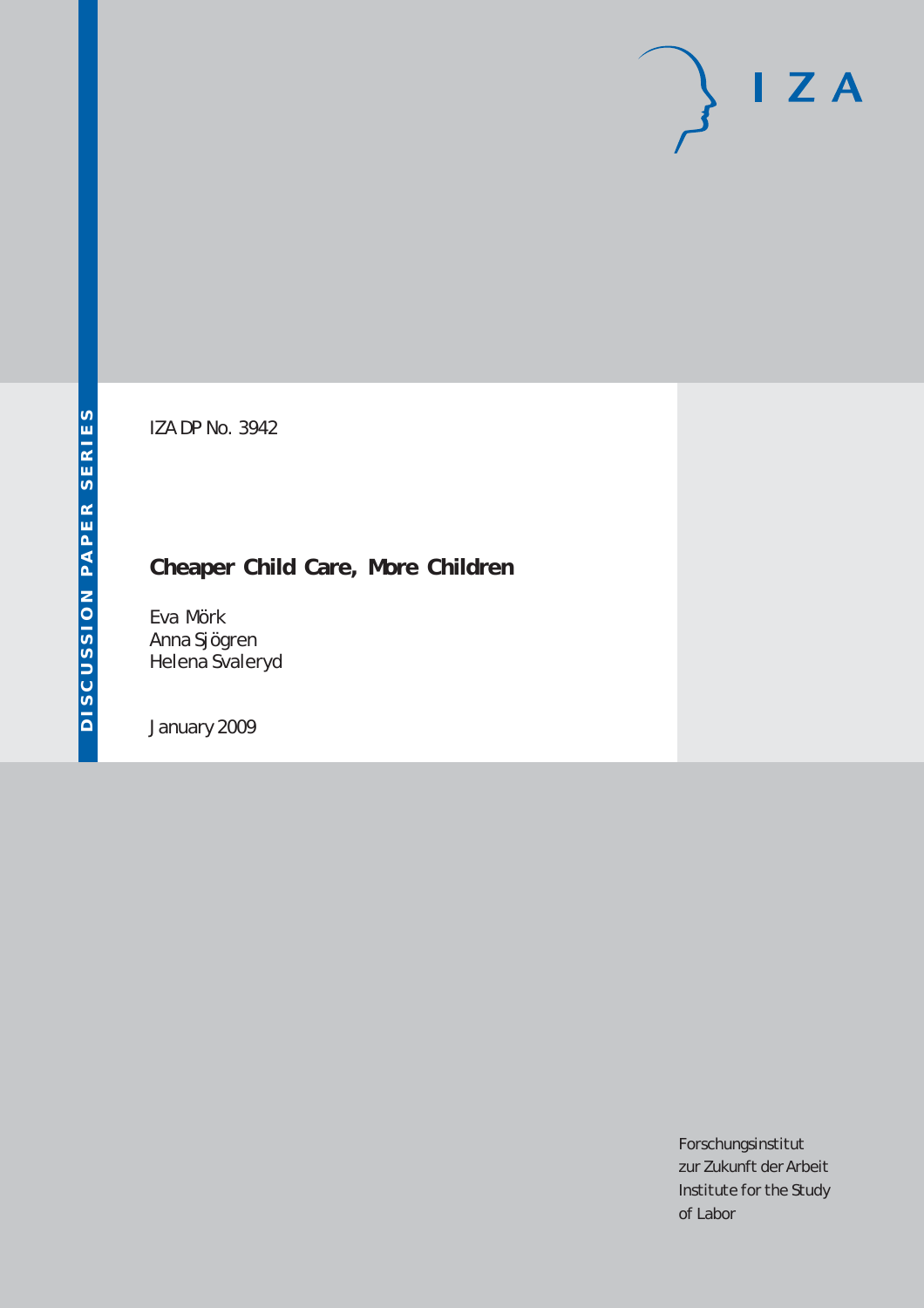# $I Z A$

IZA DP No. 3942

# **Cheaper Child Care, More Children**

Eva Mörk Anna Sjögren Helena Svaleryd

January 2009

Forschungsinstitut zur Zukunft der Arbeit Institute for the Study of Labor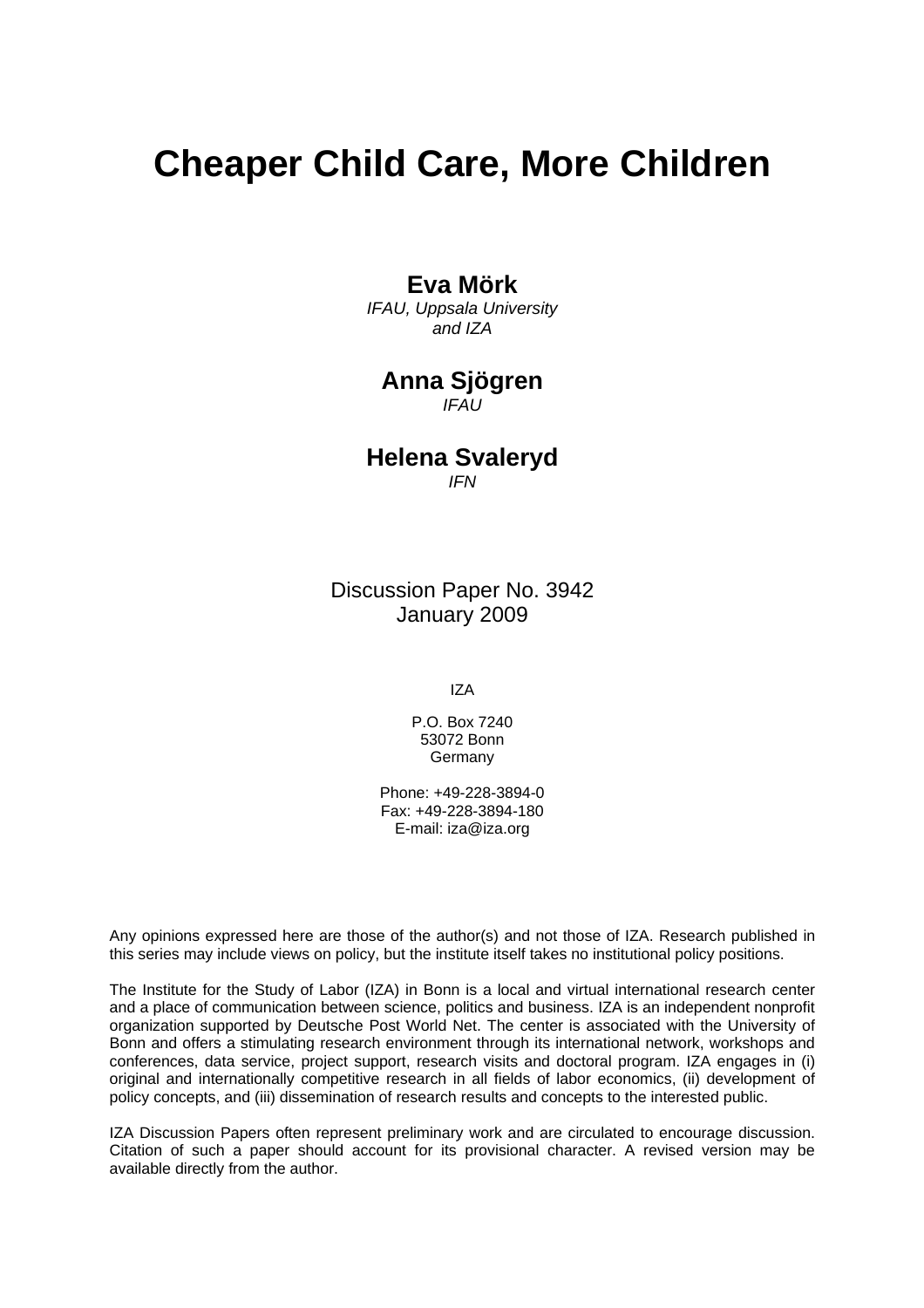# **Cheaper Child Care, More Children**

### **Eva Mörk**

*IFAU, Uppsala University and IZA* 

# **Anna Sjögren**

*IFAU* 

## **Helena Svaleryd**

*IFN*

Discussion Paper No. 3942 January 2009

IZA

P.O. Box 7240 53072 Bonn Germany

Phone: +49-228-3894-0 Fax: +49-228-3894-180 E-mail: [iza@iza.org](mailto:iza@iza.org)

Any opinions expressed here are those of the author(s) and not those of IZA. Research published in this series may include views on policy, but the institute itself takes no institutional policy positions.

The Institute for the Study of Labor (IZA) in Bonn is a local and virtual international research center and a place of communication between science, politics and business. IZA is an independent nonprofit organization supported by Deutsche Post World Net. The center is associated with the University of Bonn and offers a stimulating research environment through its international network, workshops and conferences, data service, project support, research visits and doctoral program. IZA engages in (i) original and internationally competitive research in all fields of labor economics, (ii) development of policy concepts, and (iii) dissemination of research results and concepts to the interested public.

IZA Discussion Papers often represent preliminary work and are circulated to encourage discussion. Citation of such a paper should account for its provisional character. A revised version may be available directly from the author.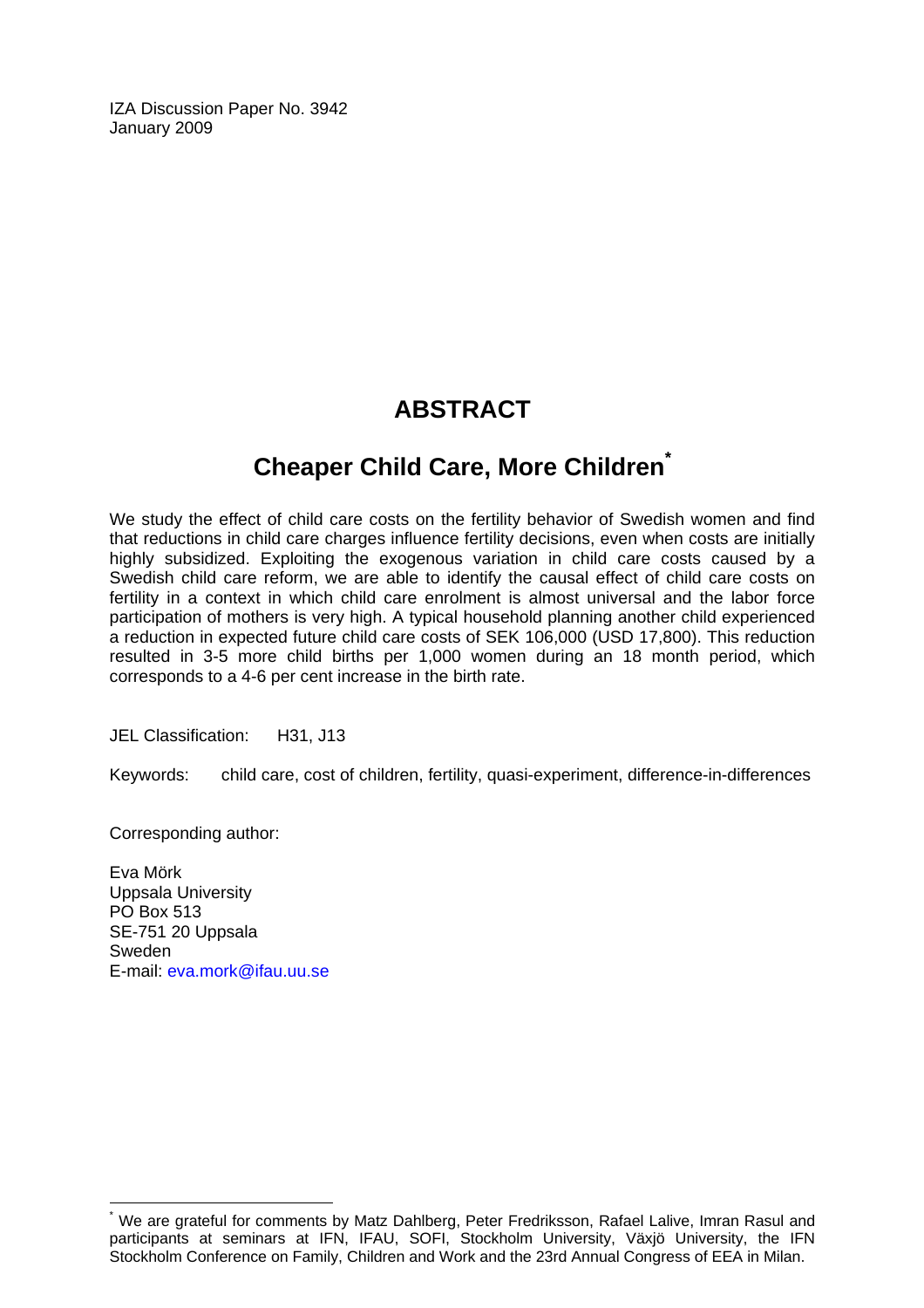IZA Discussion Paper No. 3942 January 2009

# **ABSTRACT**

# **Cheaper Child Care, More Children[\\*](#page-2-0)**

We study the effect of child care costs on the fertility behavior of Swedish women and find that reductions in child care charges influence fertility decisions, even when costs are initially highly subsidized. Exploiting the exogenous variation in child care costs caused by a Swedish child care reform, we are able to identify the causal effect of child care costs on fertility in a context in which child care enrolment is almost universal and the labor force participation of mothers is very high. A typical household planning another child experienced a reduction in expected future child care costs of SEK 106,000 (USD 17,800). This reduction resulted in 3-5 more child births per 1,000 women during an 18 month period, which corresponds to a 4-6 per cent increase in the birth rate.

JEL Classification: H31, J13

Keywords: child care, cost of children, fertility, quasi-experiment, difference-in-differences

Corresponding author:

 $\overline{a}$ 

Eva Mörk Uppsala University PO Box 513 SE-751 20 Uppsala Sweden E-mail: [eva.mork@ifau.uu.se](mailto:eva.mork@ifau.uu.se) 

<span id="page-2-0"></span><sup>\*</sup> We are grateful for comments by Matz Dahlberg, Peter Fredriksson, Rafael Lalive, Imran Rasul and participants at seminars at IFN, IFAU, SOFI, Stockholm University, Växjö University, the IFN Stockholm Conference on Family, Children and Work and the 23rd Annual Congress of EEA in Milan.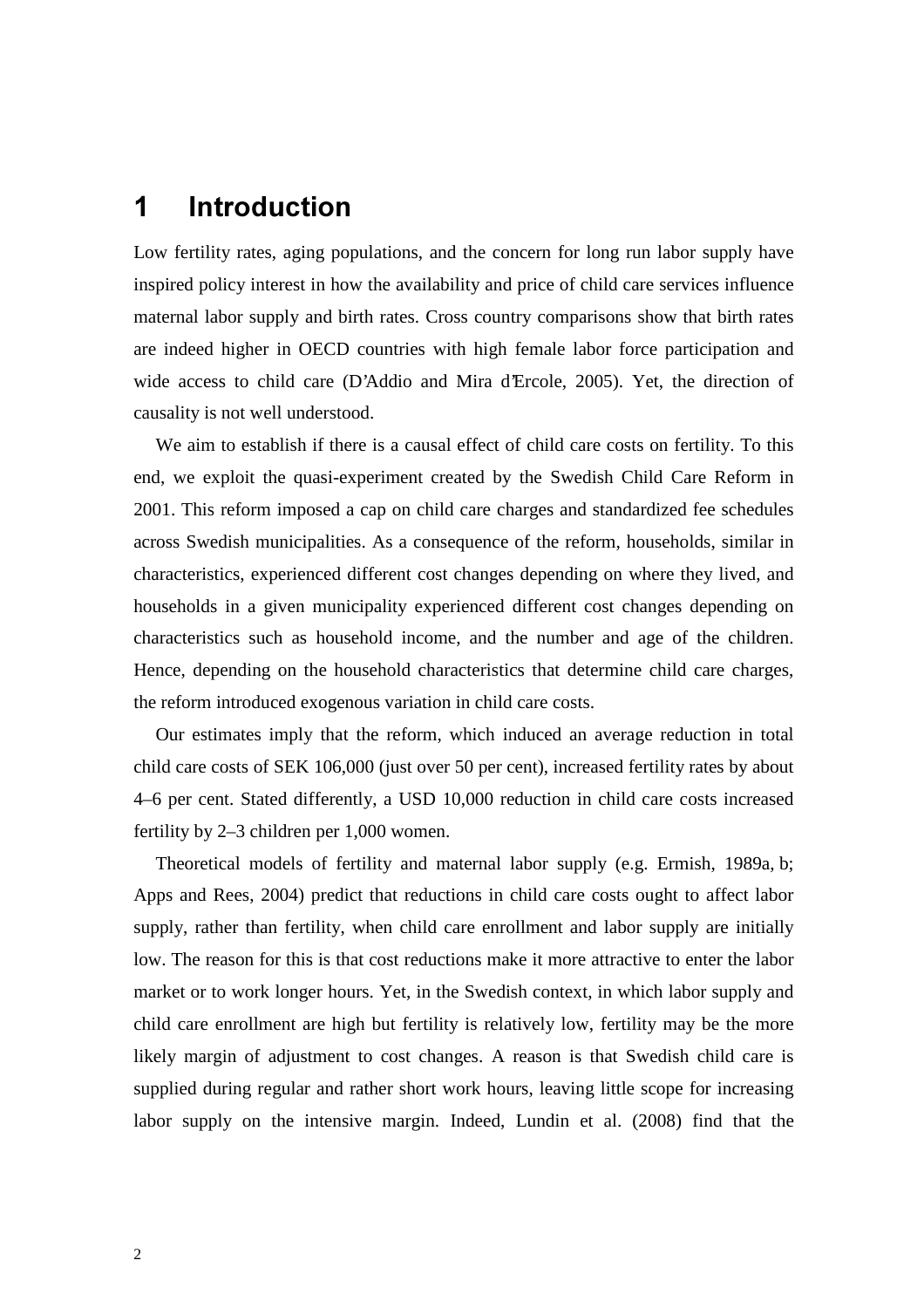# **1** Introduction

Low fertility rates, aging populations, and the concern for long run labor supply have inspired policy interest in how the availability and price of child care services influence maternal labor supply and birth rates. Cross country comparisons show that birth rates are indeed higher in OECD countries with high female labor force participation and wide access to child care (D'Addio and Mira d'Ercole, 2005). Yet, the direction of causality is not well understood.

We aim to establish if there is a causal effect of child care costs on fertility. To this end, we exploit the quasi-experiment created by the Swedish Child Care Reform in 2001. This reform imposed a cap on child care charges and standardized fee schedules across Swedish municipalities. As a consequence of the reform, households, similar in characteristics, experienced different cost changes depending on where they lived, and households in a given municipality experienced different cost changes depending on characteristics such as household income, and the number and age of the children. Hence, depending on the household characteristics that determine child care charges, the reform introduced exogenous variation in child care costs.

Our estimates imply that the reform, which induced an average reduction in total child care costs of SEK 106,000 (just over 50 per cent), increased fertility rates by about 4–6 per cent. Stated differently, a USD 10,000 reduction in child care costs increased fertility by 2–3 children per 1,000 women.

Theoretical models of fertility and maternal labor supply (e.g. Ermish, 1989a, b; Apps and Rees, 2004) predict that reductions in child care costs ought to affect labor supply, rather than fertility, when child care enrollment and labor supply are initially low. The reason for this is that cost reductions make it more attractive to enter the labor market or to work longer hours. Yet, in the Swedish context, in which labor supply and child care enrollment are high but fertility is relatively low, fertility may be the more likely margin of adjustment to cost changes. A reason is that Swedish child care is supplied during regular and rather short work hours, leaving little scope for increasing labor supply on the intensive margin. Indeed, Lundin et al. (2008) find that the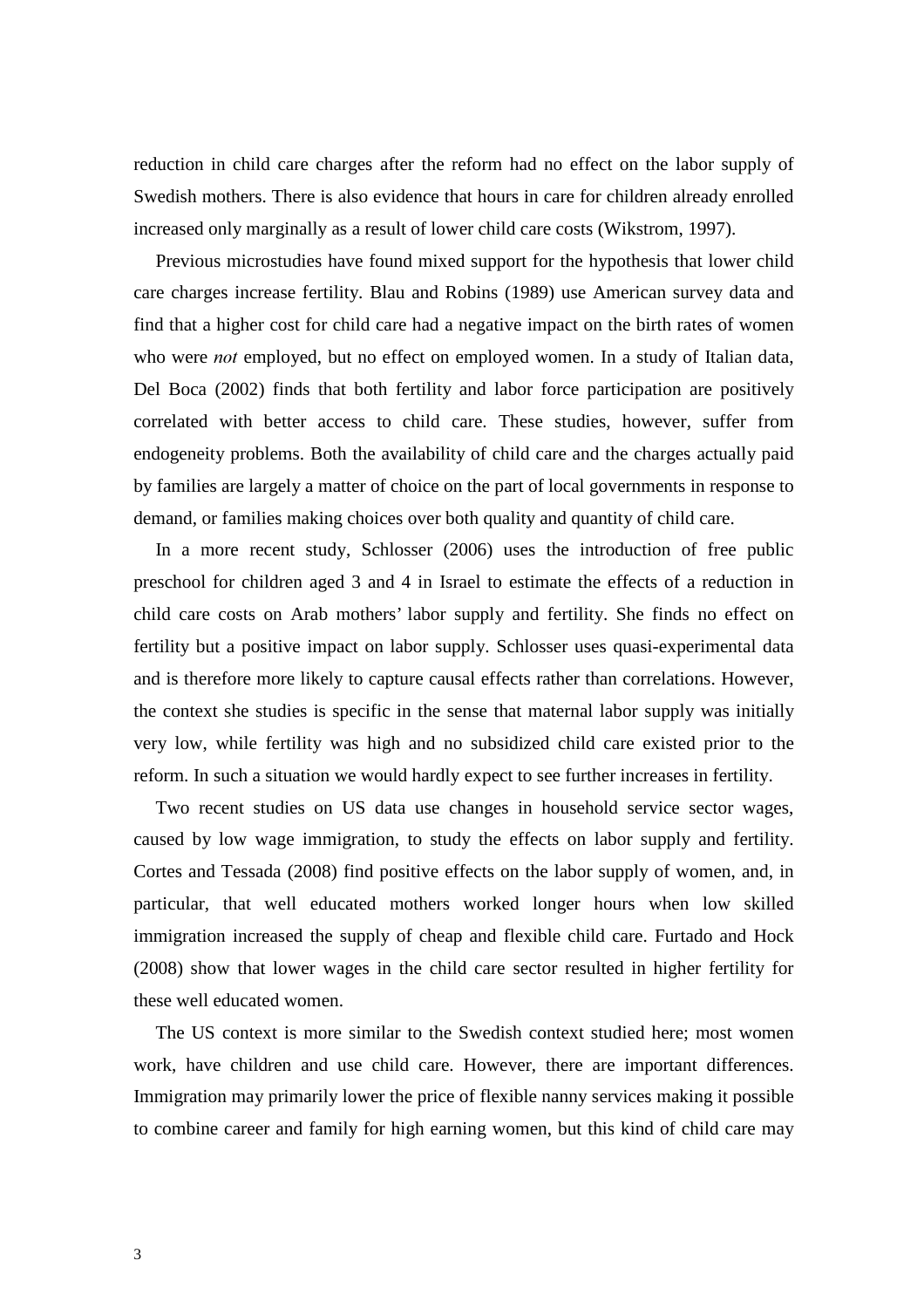reduction in child care charges after the reform had no effect on the labor supply of Swedish mothers. There is also evidence that hours in care for children already enrolled increased only marginally as a result of lower child care costs (Wikstrom, 1997).

Previous microstudies have found mixed support for the hypothesis that lower child care charges increase fertility. Blau and Robins (1989) use American survey data and find that a higher cost for child care had a negative impact on the birth rates of women who were *not* employed, but no effect on employed women. In a study of Italian data, Del Boca (2002) finds that both fertility and labor force participation are positively correlated with better access to child care. These studies, however, suffer from endogeneity problems. Both the availability of child care and the charges actually paid by families are largely a matter of choice on the part of local governments in response to demand, or families making choices over both quality and quantity of child care.

In a more recent study, Schlosser (2006) uses the introduction of free public preschool for children aged 3 and 4 in Israel to estimate the effects of a reduction in child care costs on Arab mothers' labor supply and fertility. She finds no effect on fertility but a positive impact on labor supply. Schlosser uses quasi-experimental data and is therefore more likely to capture causal effects rather than correlations. However, the context she studies is specific in the sense that maternal labor supply was initially very low, while fertility was high and no subsidized child care existed prior to the reform. In such a situation we would hardly expect to see further increases in fertility.

Two recent studies on US data use changes in household service sector wages, caused by low wage immigration, to study the effects on labor supply and fertility. Cortes and Tessada (2008) find positive effects on the labor supply of women, and, in particular, that well educated mothers worked longer hours when low skilled immigration increased the supply of cheap and flexible child care. Furtado and Hock (2008) show that lower wages in the child care sector resulted in higher fertility for these well educated women.

The US context is more similar to the Swedish context studied here; most women work, have children and use child care. However, there are important differences. Immigration may primarily lower the price of flexible nanny services making it possible to combine career and family for high earning women, but this kind of child care may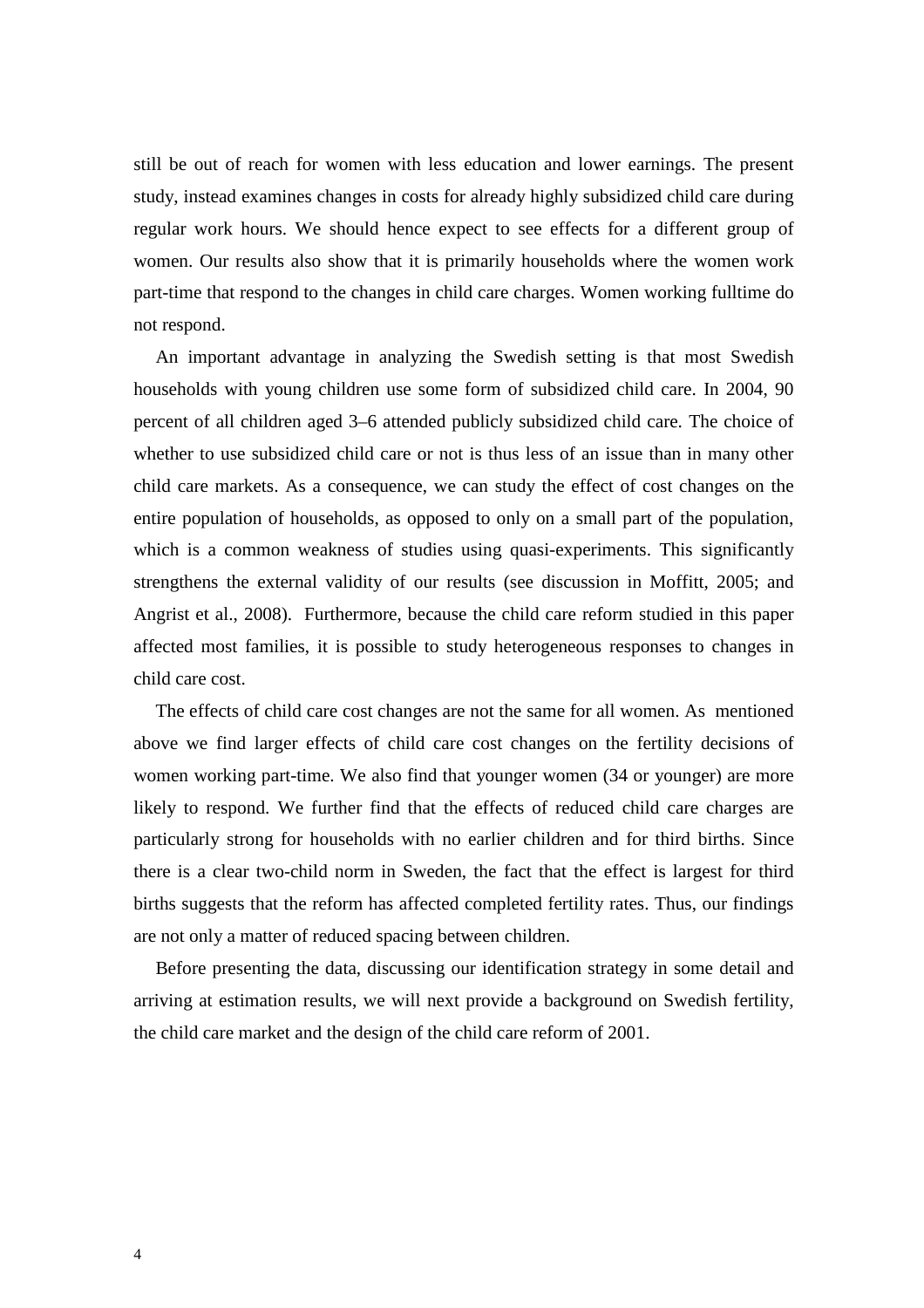still be out of reach for women with less education and lower earnings. The present study, instead examines changes in costs for already highly subsidized child care during regular work hours. We should hence expect to see effects for a different group of women. Our results also show that it is primarily households where the women work part-time that respond to the changes in child care charges. Women working fulltime do not respond.

An important advantage in analyzing the Swedish setting is that most Swedish households with young children use some form of subsidized child care. In 2004, 90 percent of all children aged 3–6 attended publicly subsidized child care. The choice of whether to use subsidized child care or not is thus less of an issue than in many other child care markets. As a consequence, we can study the effect of cost changes on the entire population of households, as opposed to only on a small part of the population, which is a common weakness of studies using quasi-experiments. This significantly strengthens the external validity of our results (see discussion in Moffitt, 2005; and Angrist et al., 2008). Furthermore, because the child care reform studied in this paper affected most families, it is possible to study heterogeneous responses to changes in child care cost.

The effects of child care cost changes are not the same for all women. As mentioned above we find larger effects of child care cost changes on the fertility decisions of women working part-time. We also find that younger women (34 or younger) are more likely to respond. We further find that the effects of reduced child care charges are particularly strong for households with no earlier children and for third births. Since there is a clear two-child norm in Sweden, the fact that the effect is largest for third births suggests that the reform has affected completed fertility rates. Thus, our findings are not only a matter of reduced spacing between children.

Before presenting the data, discussing our identification strategy in some detail and arriving at estimation results, we will next provide a background on Swedish fertility, the child care market and the design of the child care reform of 2001.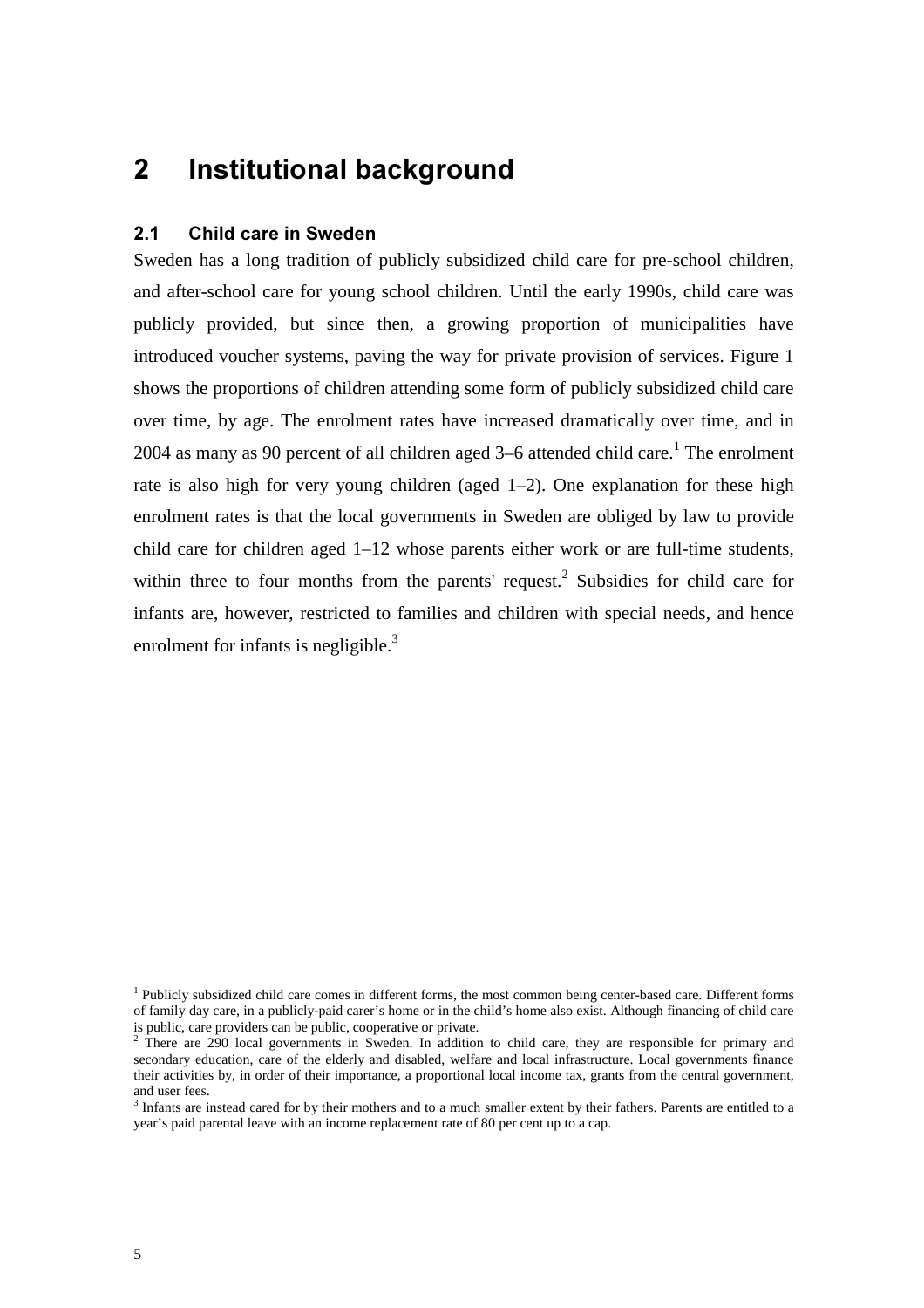# **2** Institutional background

### **2.1 Child care in Sweden**

Sweden has a long tradition of publicly subsidized child care for pre-school children, and after-school care for young school children. Until the early 1990s, child care was publicly provided, but since then, a growing proportion of municipalities have introduced voucher systems, paving the way for private provision of services. Figure 1 shows the proportions of children attending some form of publicly subsidized child care over time, by age. The enrolment rates have increased dramatically over time, and in 2004 as many as 90 percent of all children aged  $3-6$  attended child care.<sup>1</sup> The enrolment rate is also high for very young children (aged 1–2). One explanation for these high enrolment rates is that the local governments in Sweden are obliged by law to provide child care for children aged 1–12 whose parents either work or are full-time students, within three to four months from the parents' request.<sup>2</sup> Subsidies for child care for infants are, however, restricted to families and children with special needs, and hence enrolment for infants is negligible. $3$ 

<sup>&</sup>lt;sup>1</sup> Publicly subsidized child care comes in different forms, the most common being center-based care. Different forms of family day care, in a publicly-paid carer's home or in the child's home also exist. Although financing of child care is public, care providers can be public, cooperative or private.<br><sup>2</sup> There are 290 local governments in Sweden. In addition to child care, they are responsible for primary and

secondary education, care of the elderly and disabled, welfare and local infrastructure. Local governments finance their activities by, in order of their importance, a proportional local income tax, grants from the central government,

and user fees.<br><sup>3</sup> Infants are instead cared for by their mothers and to a much smaller extent by their fathers. Parents are entitled to a year's paid parental leave with an income replacement rate of 80 per cent up to a cap.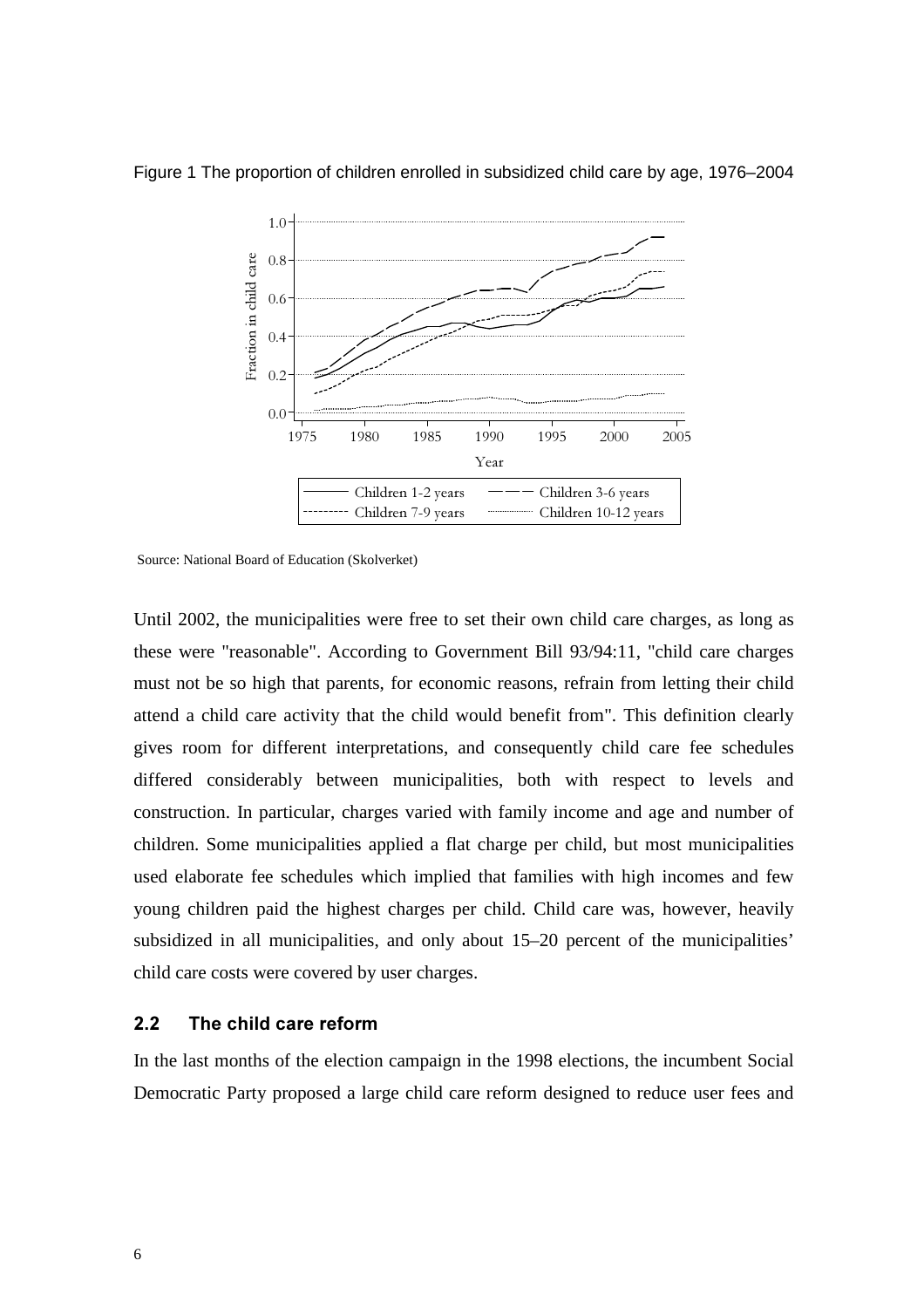

Figure 1 The proportion of children enrolled in subsidized child care by age, 1976–2004

Source: National Board of Education (Skolverket)

Until 2002, the municipalities were free to set their own child care charges, as long as these were "reasonable". According to Government Bill 93/94:11, "child care charges must not be so high that parents, for economic reasons, refrain from letting their child attend a child care activity that the child would benefit from". This definition clearly gives room for different interpretations, and consequently child care fee schedules differed considerably between municipalities, both with respect to levels and construction. In particular, charges varied with family income and age and number of children. Some municipalities applied a flat charge per child, but most municipalities used elaborate fee schedules which implied that families with high incomes and few young children paid the highest charges per child. Child care was, however, heavily subsidized in all municipalities, and only about 15–20 percent of the municipalities' child care costs were covered by user charges.

### 2.2 The child care reform

In the last months of the election campaign in the 1998 elections, the incumbent Social Democratic Party proposed a large child care reform designed to reduce user fees and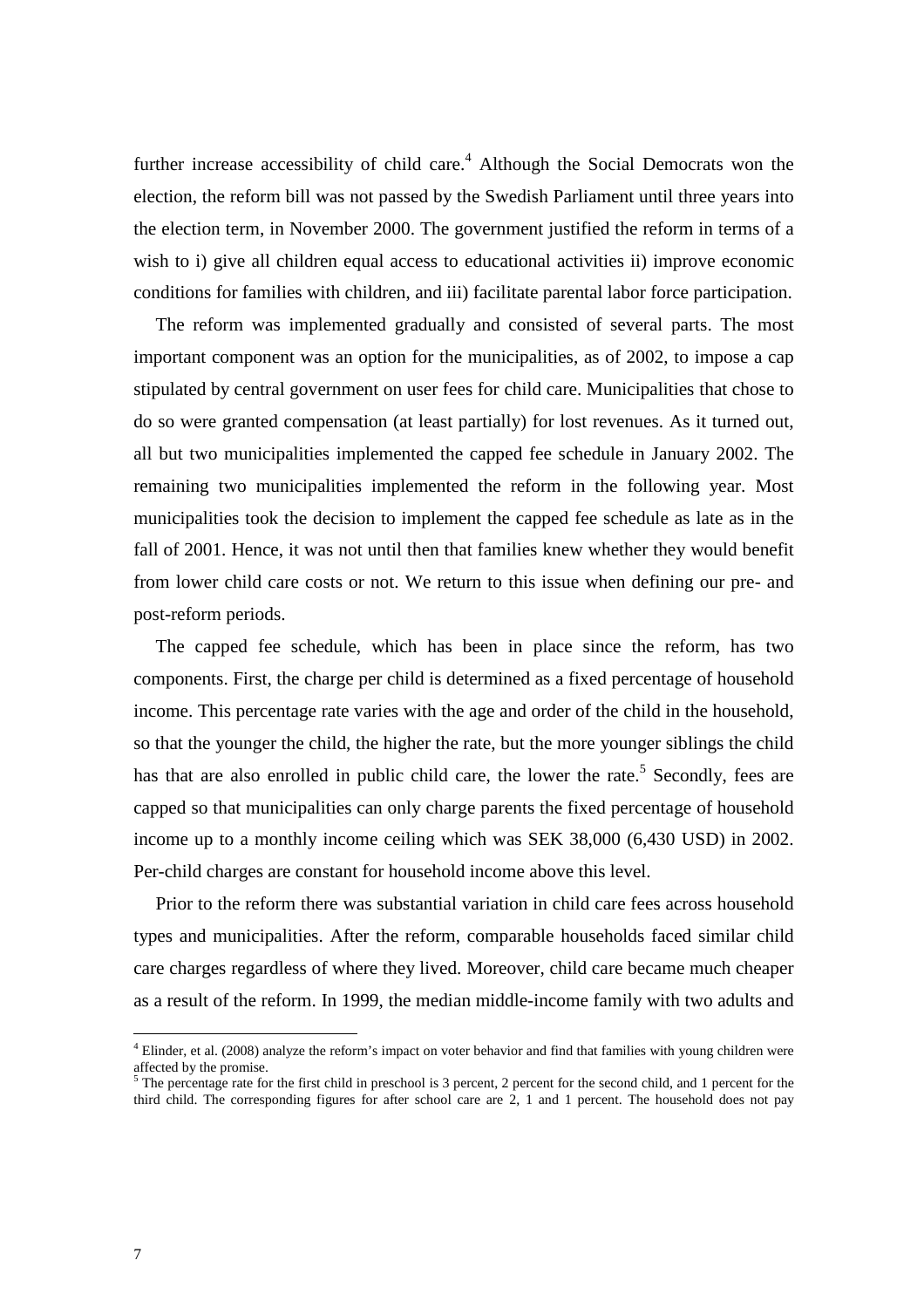further increase accessibility of child care. $4$  Although the Social Democrats won the election, the reform bill was not passed by the Swedish Parliament until three years into the election term, in November 2000. The government justified the reform in terms of a wish to i) give all children equal access to educational activities ii) improve economic conditions for families with children, and iii) facilitate parental labor force participation.

The reform was implemented gradually and consisted of several parts. The most important component was an option for the municipalities, as of 2002, to impose a cap stipulated by central government on user fees for child care. Municipalities that chose to do so were granted compensation (at least partially) for lost revenues. As it turned out, all but two municipalities implemented the capped fee schedule in January 2002. The remaining two municipalities implemented the reform in the following year. Most municipalities took the decision to implement the capped fee schedule as late as in the fall of 2001. Hence, it was not until then that families knew whether they would benefit from lower child care costs or not. We return to this issue when defining our pre- and post-reform periods.

The capped fee schedule, which has been in place since the reform, has two components. First, the charge per child is determined as a fixed percentage of household income. This percentage rate varies with the age and order of the child in the household, so that the younger the child, the higher the rate, but the more younger siblings the child has that are also enrolled in public child care, the lower the rate.<sup>5</sup> Secondly, fees are capped so that municipalities can only charge parents the fixed percentage of household income up to a monthly income ceiling which was SEK 38,000 (6,430 USD) in 2002. Per-child charges are constant for household income above this level.

Prior to the reform there was substantial variation in child care fees across household types and municipalities. After the reform, comparable households faced similar child care charges regardless of where they lived. Moreover, child care became much cheaper as a result of the reform. In 1999, the median middle-income family with two adults and

 $4$  Elinder, et al. (2008) analyze the reform's impact on voter behavior and find that families with young children were affected by the promise.

 $5$  The percentage rate for the first child in preschool is 3 percent, 2 percent for the second child, and 1 percent for the third child. The corresponding figures for after school care are 2, 1 and 1 percent. The household does not pay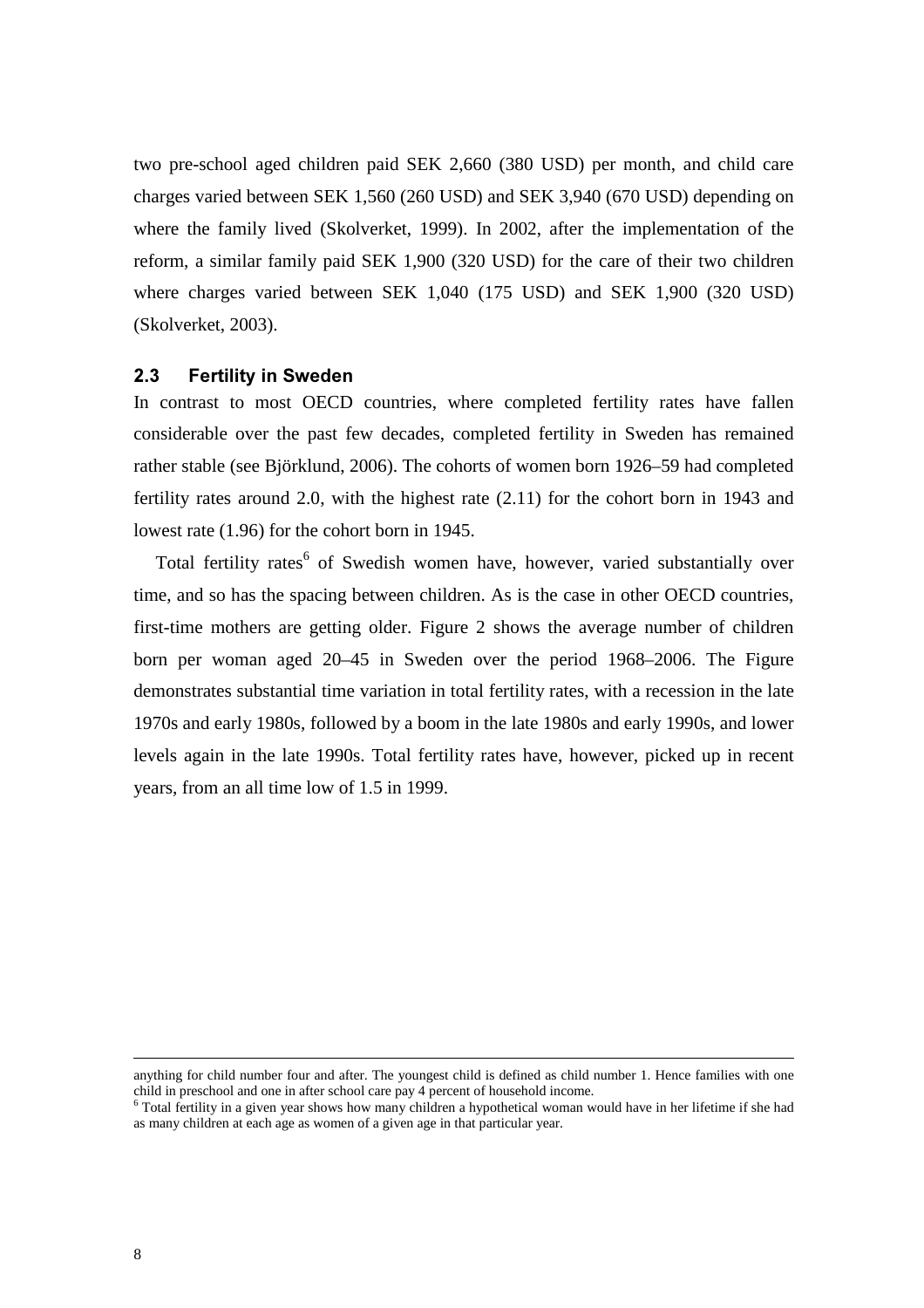two pre-school aged children paid SEK 2,660 (380 USD) per month, and child care charges varied between SEK 1,560 (260 USD) and SEK 3,940 (670 USD) depending on where the family lived (Skolverket, 1999). In 2002, after the implementation of the reform, a similar family paid SEK 1,900 (320 USD) for the care of their two children where charges varied between SEK 1,040 (175 USD) and SEK 1,900 (320 USD) (Skolverket, 2003).

### **2.3 Fertility in Sweden**

In contrast to most OECD countries, where completed fertility rates have fallen considerable over the past few decades, completed fertility in Sweden has remained rather stable (see Björklund, 2006). The cohorts of women born 1926–59 had completed fertility rates around 2.0, with the highest rate (2.11) for the cohort born in 1943 and lowest rate (1.96) for the cohort born in 1945.

Total fertility rates<sup>6</sup> of Swedish women have, however, varied substantially over time, and so has the spacing between children. As is the case in other OECD countries, first-time mothers are getting older. Figure 2 shows the average number of children born per woman aged 20–45 in Sweden over the period 1968–2006. The Figure demonstrates substantial time variation in total fertility rates, with a recession in the late 1970s and early 1980s, followed by a boom in the late 1980s and early 1990s, and lower levels again in the late 1990s. Total fertility rates have, however, picked up in recent years, from an all time low of 1.5 in 1999.

anything for child number four and after. The youngest child is defined as child number 1. Hence families with one child in preschool and one in after school care pay 4 percent of household income.<br><sup>6</sup> Total fertility in a given year shows how many children a hypothetical woman would have in her lifetime if she had

as many children at each age as women of a given age in that particular year.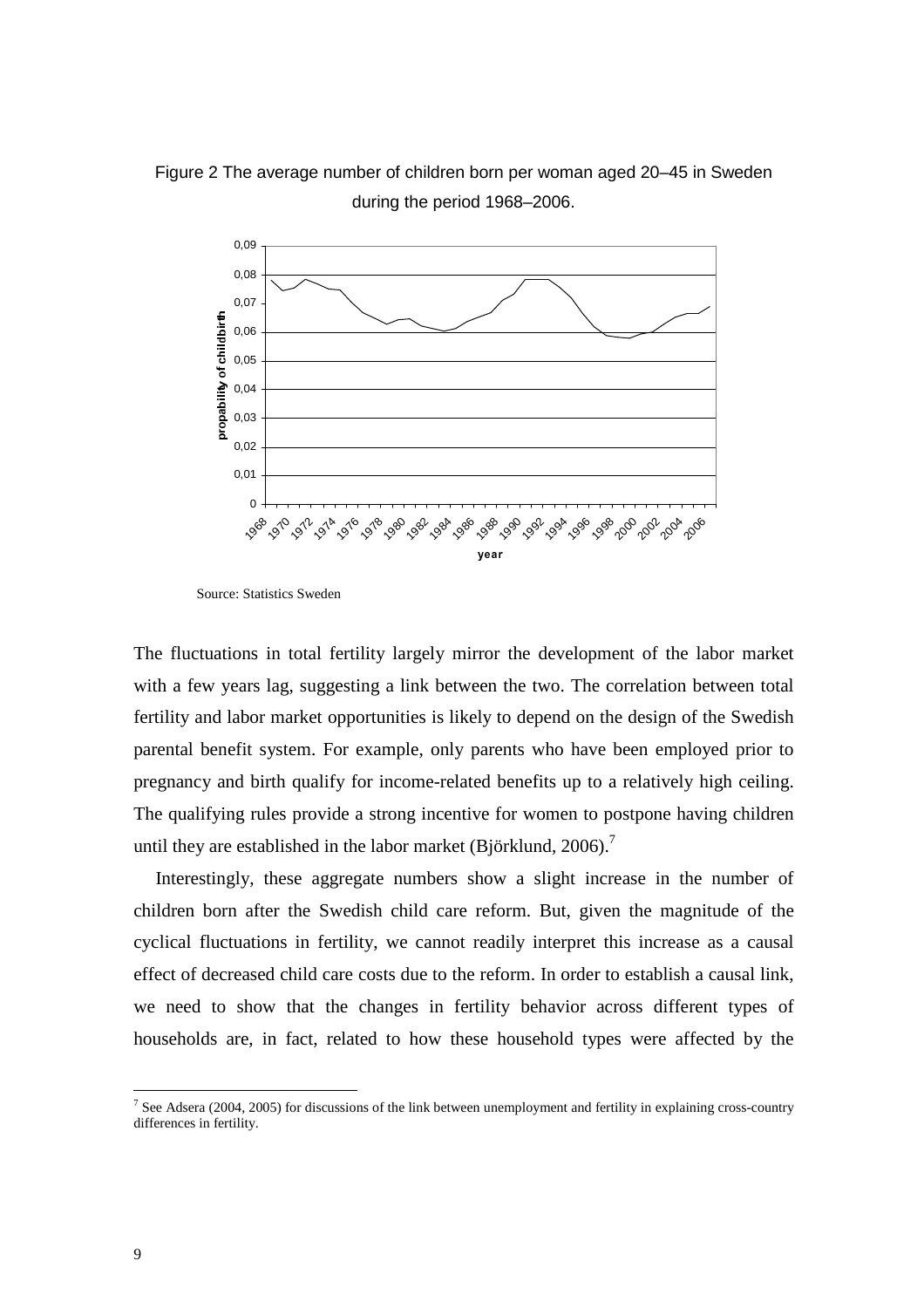Figure 2 The average number of children born per woman aged 20–45 in Sweden during the period 1968–2006.



Source: Statistics Sweden

The fluctuations in total fertility largely mirror the development of the labor market with a few years lag, suggesting a link between the two. The correlation between total fertility and labor market opportunities is likely to depend on the design of the Swedish parental benefit system. For example, only parents who have been employed prior to pregnancy and birth qualify for income-related benefits up to a relatively high ceiling. The qualifying rules provide a strong incentive for women to postpone having children until they are established in the labor market (Björklund,  $2006$ ).<sup>7</sup>

Interestingly, these aggregate numbers show a slight increase in the number of children born after the Swedish child care reform. But, given the magnitude of the cyclical fluctuations in fertility, we cannot readily interpret this increase as a causal effect of decreased child care costs due to the reform. In order to establish a causal link, we need to show that the changes in fertility behavior across different types of households are, in fact, related to how these household types were affected by the

<sup>&</sup>lt;sup>7</sup> See Adsera (2004, 2005) for discussions of the link between unemployment and fertility in explaining cross-country differences in fertility.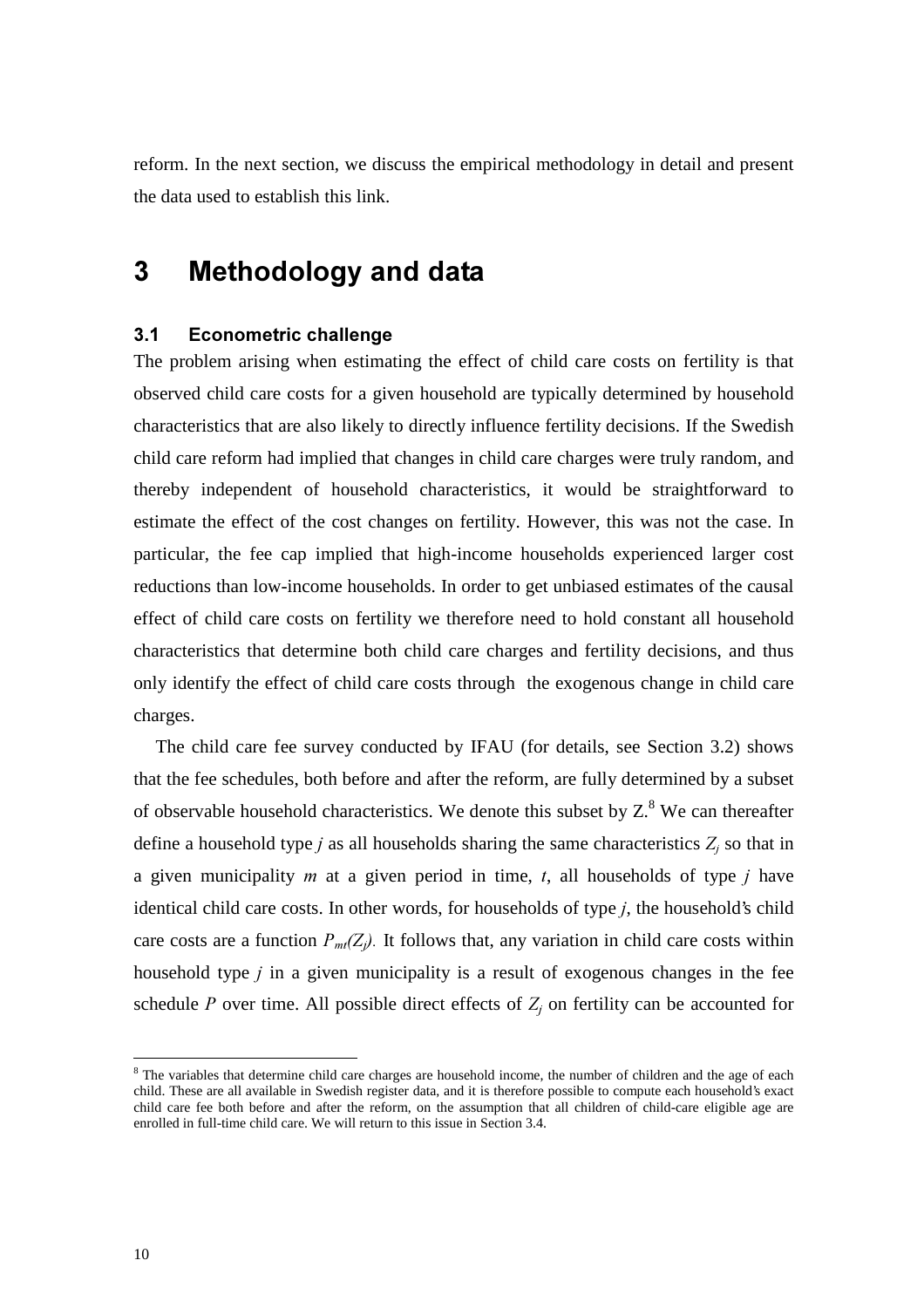reform. In the next section, we discuss the empirical methodology in detail and present the data used to establish this link.

# **3** Methodology and data

### **3.1 Econometric challenge**

The problem arising when estimating the effect of child care costs on fertility is that observed child care costs for a given household are typically determined by household characteristics that are also likely to directly influence fertility decisions. If the Swedish child care reform had implied that changes in child care charges were truly random, and thereby independent of household characteristics, it would be straightforward to estimate the effect of the cost changes on fertility. However, this was not the case. In particular, the fee cap implied that high-income households experienced larger cost reductions than low-income households. In order to get unbiased estimates of the causal effect of child care costs on fertility we therefore need to hold constant all household characteristics that determine both child care charges and fertility decisions, and thus only identify the effect of child care costs through the exogenous change in child care charges.

The child care fee survey conducted by IFAU (for details, see Section 3.2) shows that the fee schedules, both before and after the reform, are fully determined by a subset of observable household characteristics. We denote this subset by  $Z^8$ . We can thereafter define a household type *j* as all households sharing the same characteristics  $Z_j$  so that in a given municipality  $m$  at a given period in time,  $t$ , all households of type  $j$  have identical child care costs. In other words, for households of type *j*, the household's child care costs are a function  $P_{mt}(Z_i)$ . It follows that, any variation in child care costs within household type *j* in a given municipality is a result of exogenous changes in the fee schedule *P* over time. All possible direct effects of  $Z_j$  on fertility can be accounted for

<sup>&</sup>lt;sup>8</sup> The variables that determine child care charges are household income, the number of children and the age of each child. These are all available in Swedish register data, and it is therefore possible to compute each household's exact child care fee both before and after the reform, on the assumption that all children of child-care eligible age are enrolled in full-time child care. We will return to this issue in Section 3.4.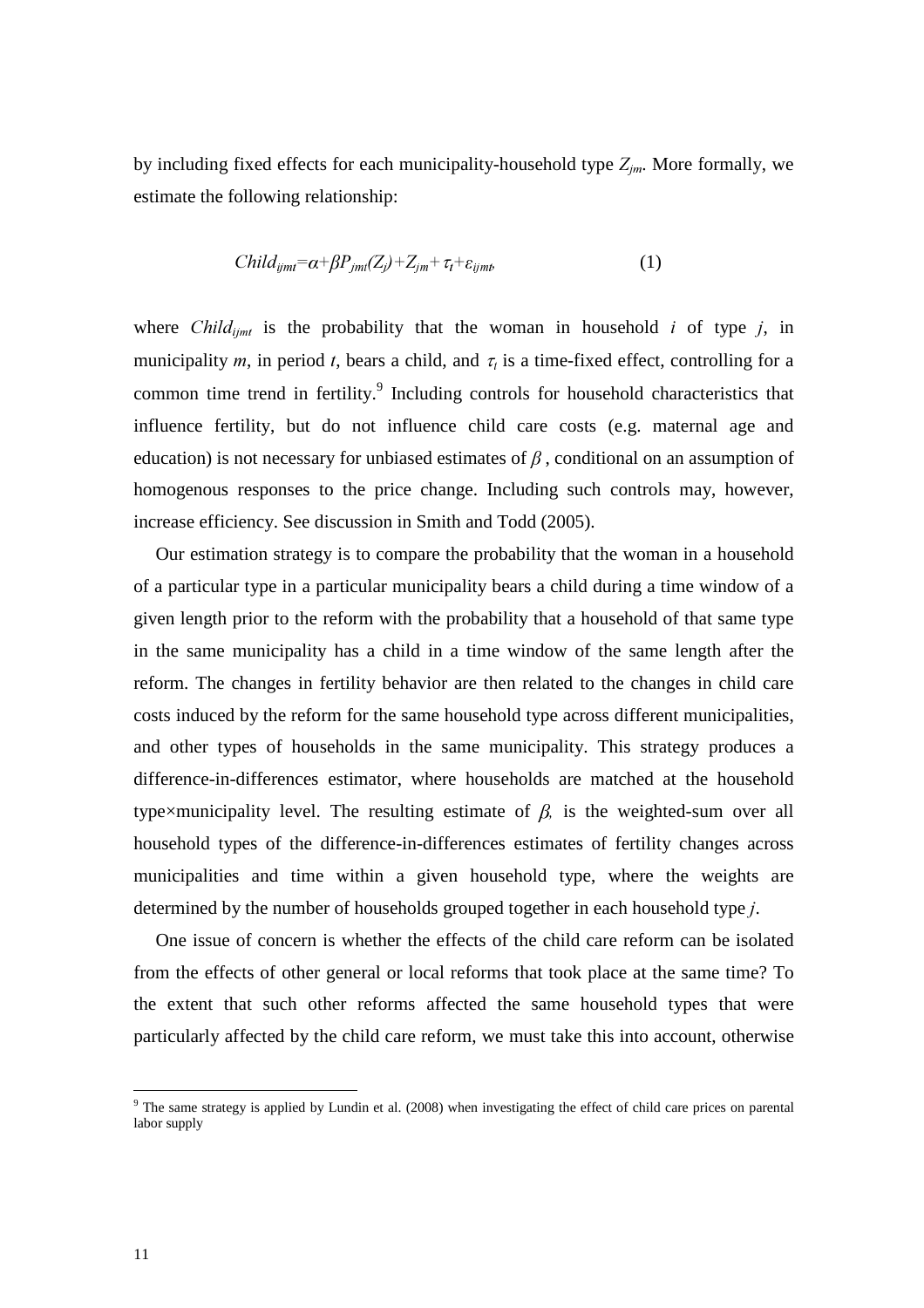by including fixed effects for each municipality-household type  $Z_{im}$ . More formally, we estimate the following relationship:

$$
Child_{ijmi} = \alpha + \beta P_{jmi}(Z_j) + Z_{jm} + \tau_t + \varepsilon_{ijmi}, \qquad (1)
$$

where *Child<sub>imt</sub>* is the probability that the woman in household *i* of type *j*, in municipality *m*, in period *t*, bears a child, and  $\tau_i$  is a time-fixed effect, controlling for a common time trend in fertility.<sup>9</sup> Including controls for household characteristics that influence fertility, but do not influence child care costs (e.g. maternal age and education) is not necessary for unbiased estimates of  $\beta$ , conditional on an assumption of homogenous responses to the price change. Including such controls may, however, increase efficiency. See discussion in Smith and Todd (2005).

Our estimation strategy is to compare the probability that the woman in a household of a particular type in a particular municipality bears a child during a time window of a given length prior to the reform with the probability that a household of that same type in the same municipality has a child in a time window of the same length after the reform. The changes in fertility behavior are then related to the changes in child care costs induced by the reform for the same household type across different municipalities, and other types of households in the same municipality. This strategy produces a difference-in-differences estimator, where households are matched at the household type×municipality level. The resulting estimate of  $\beta$ , is the weighted-sum over all household types of the difference-in-differences estimates of fertility changes across municipalities and time within a given household type, where the weights are determined by the number of households grouped together in each household type *j*.

One issue of concern is whether the effects of the child care reform can be isolated from the effects of other general or local reforms that took place at the same time? To the extent that such other reforms affected the same household types that were particularly affected by the child care reform, we must take this into account, otherwise

<sup>&</sup>lt;sup>9</sup> The same strategy is applied by Lundin et al. (2008) when investigating the effect of child care prices on parental labor supply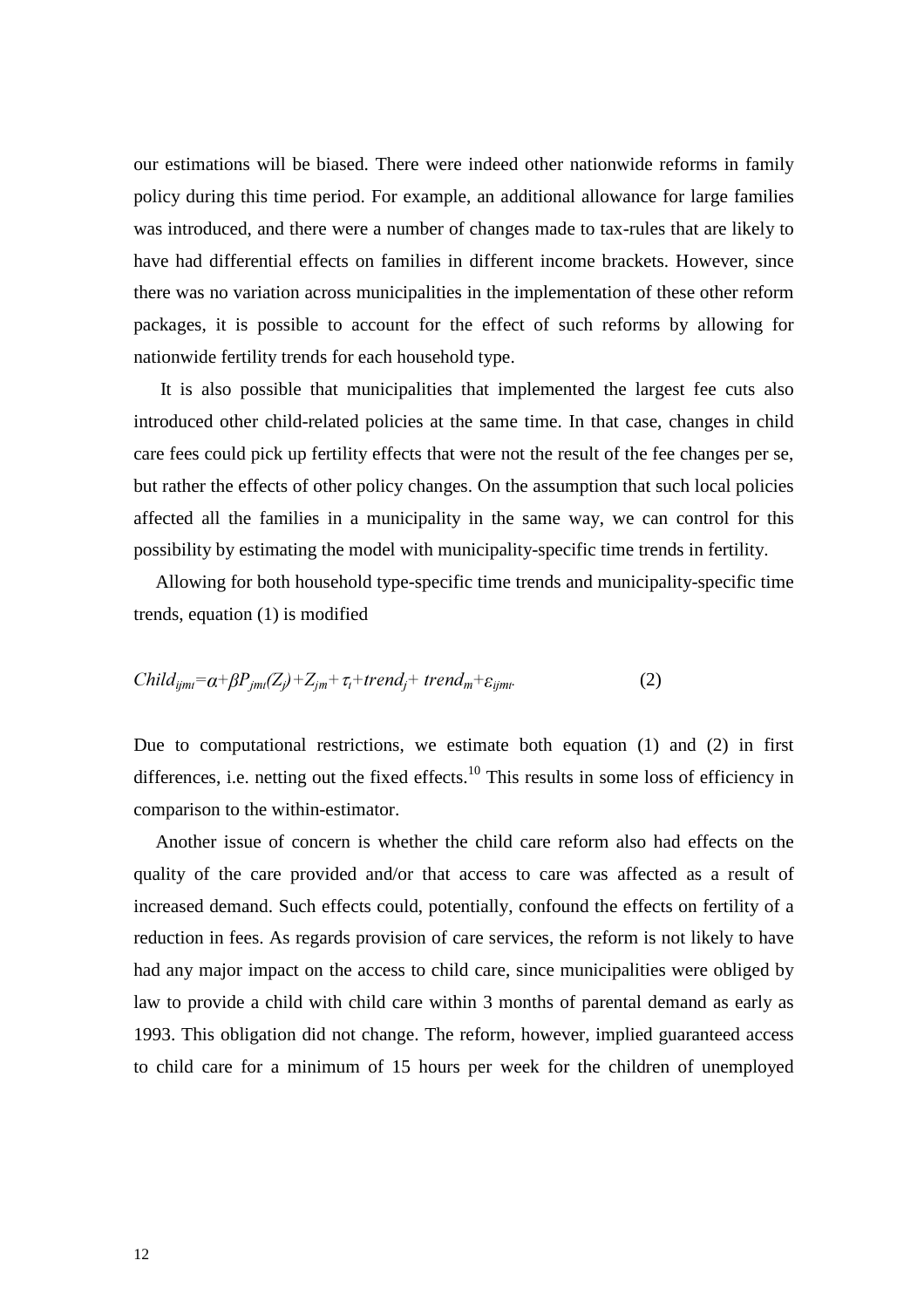our estimations will be biased. There were indeed other nationwide reforms in family policy during this time period. For example, an additional allowance for large families was introduced, and there were a number of changes made to tax-rules that are likely to have had differential effects on families in different income brackets. However, since there was no variation across municipalities in the implementation of these other reform packages, it is possible to account for the effect of such reforms by allowing for nationwide fertility trends for each household type.

 It is also possible that municipalities that implemented the largest fee cuts also introduced other child-related policies at the same time. In that case, changes in child care fees could pick up fertility effects that were not the result of the fee changes per se, but rather the effects of other policy changes. On the assumption that such local policies affected all the families in a municipality in the same way, we can control for this possibility by estimating the model with municipality-specific time trends in fertility.

Allowing for both household type-specific time trends and municipality-specific time trends, equation (1) is modified

$$
Child_{ijmi} = \alpha + \beta P_{jmi}(Z_j) + Z_{jm} + \tau_t + trend_j + trend_m + \varepsilon_{ijmi}.
$$
 (2)

Due to computational restrictions, we estimate both equation (1) and (2) in first differences, i.e. netting out the fixed effects.<sup>10</sup> This results in some loss of efficiency in comparison to the within-estimator.

Another issue of concern is whether the child care reform also had effects on the quality of the care provided and/or that access to care was affected as a result of increased demand. Such effects could, potentially, confound the effects on fertility of a reduction in fees. As regards provision of care services, the reform is not likely to have had any major impact on the access to child care, since municipalities were obliged by law to provide a child with child care within 3 months of parental demand as early as 1993. This obligation did not change. The reform, however, implied guaranteed access to child care for a minimum of 15 hours per week for the children of unemployed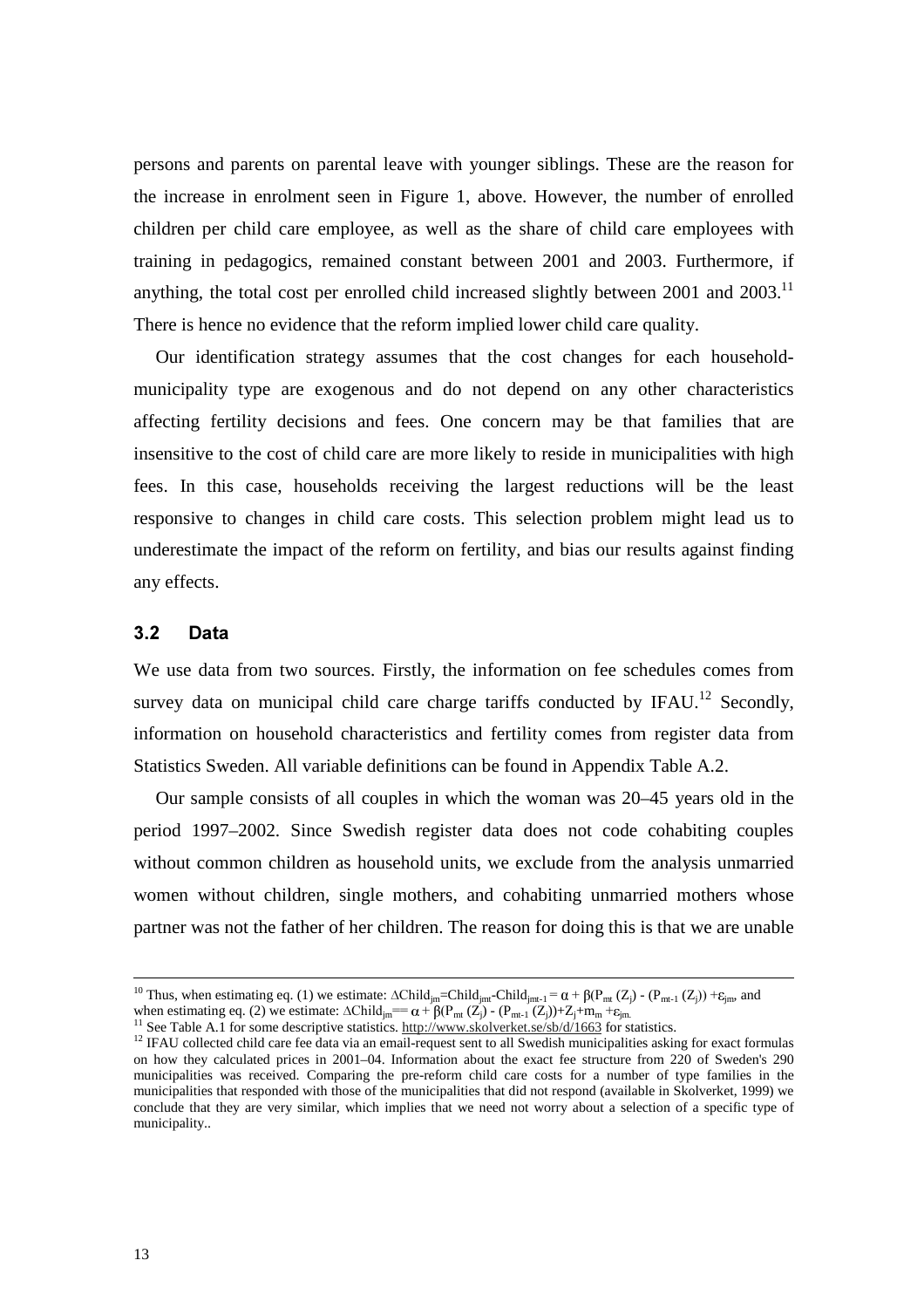persons and parents on parental leave with younger siblings. These are the reason for the increase in enrolment seen in Figure 1, above. However, the number of enrolled children per child care employee, as well as the share of child care employees with training in pedagogics, remained constant between 2001 and 2003. Furthermore, if anything, the total cost per enrolled child increased slightly between  $2001$  and  $2003$ .<sup>11</sup> There is hence no evidence that the reform implied lower child care quality.

Our identification strategy assumes that the cost changes for each householdmunicipality type are exogenous and do not depend on any other characteristics affecting fertility decisions and fees. One concern may be that families that are insensitive to the cost of child care are more likely to reside in municipalities with high fees. In this case, households receiving the largest reductions will be the least responsive to changes in child care costs. This selection problem might lead us to underestimate the impact of the reform on fertility, and bias our results against finding any effects.

### **3.2** Data

We use data from two sources. Firstly, the information on fee schedules comes from survey data on municipal child care charge tariffs conducted by IFAU.<sup>12</sup> Secondly, information on household characteristics and fertility comes from register data from Statistics Sweden. All variable definitions can be found in Appendix Table A.2.

Our sample consists of all couples in which the woman was 20–45 years old in the period 1997–2002. Since Swedish register data does not code cohabiting couples without common children as household units, we exclude from the analysis unmarried women without children, single mothers, and cohabiting unmarried mothers whose partner was not the father of her children. The reason for doing this is that we are unable

<sup>&</sup>lt;sup>10</sup> Thus, when estimating eq. (1) we estimate:  $\triangle Child_{jm}$ =Child<sub>jmt-</sub>Child<sub>jmt-1</sub> =  $\alpha + \beta(P_{mt}(Z_j) - (P_{mt-1}(Z_j)) + \varepsilon_{jm}$ , and when estimating eq. (2) we estimate:  $\triangle Child_{jm} = \alpha + \beta(P_{mt}(Z_j) - (P_{mt-1}(Z_j)) + Z_j + m_m + \varepsilon_{jm}$ 

<sup>&</sup>lt;sup>11</sup> See Table A.1 for some descriptive statistics. http://www.skolverket.se/sb/d/1663 for statistics.

<sup>&</sup>lt;sup>12</sup> IFAU collected child care fee data via an email-request sent to all Swedish municipalities asking for exact formulas on how they calculated prices in 2001–04. Information about the exact fee structure from 220 of Sweden's 290 municipalities was received. Comparing the pre-reform child care costs for a number of type families in the municipalities that responded with those of the municipalities that did not respond (available in Skolverket, 1999) we conclude that they are very similar, which implies that we need not worry about a selection of a specific type of municipality..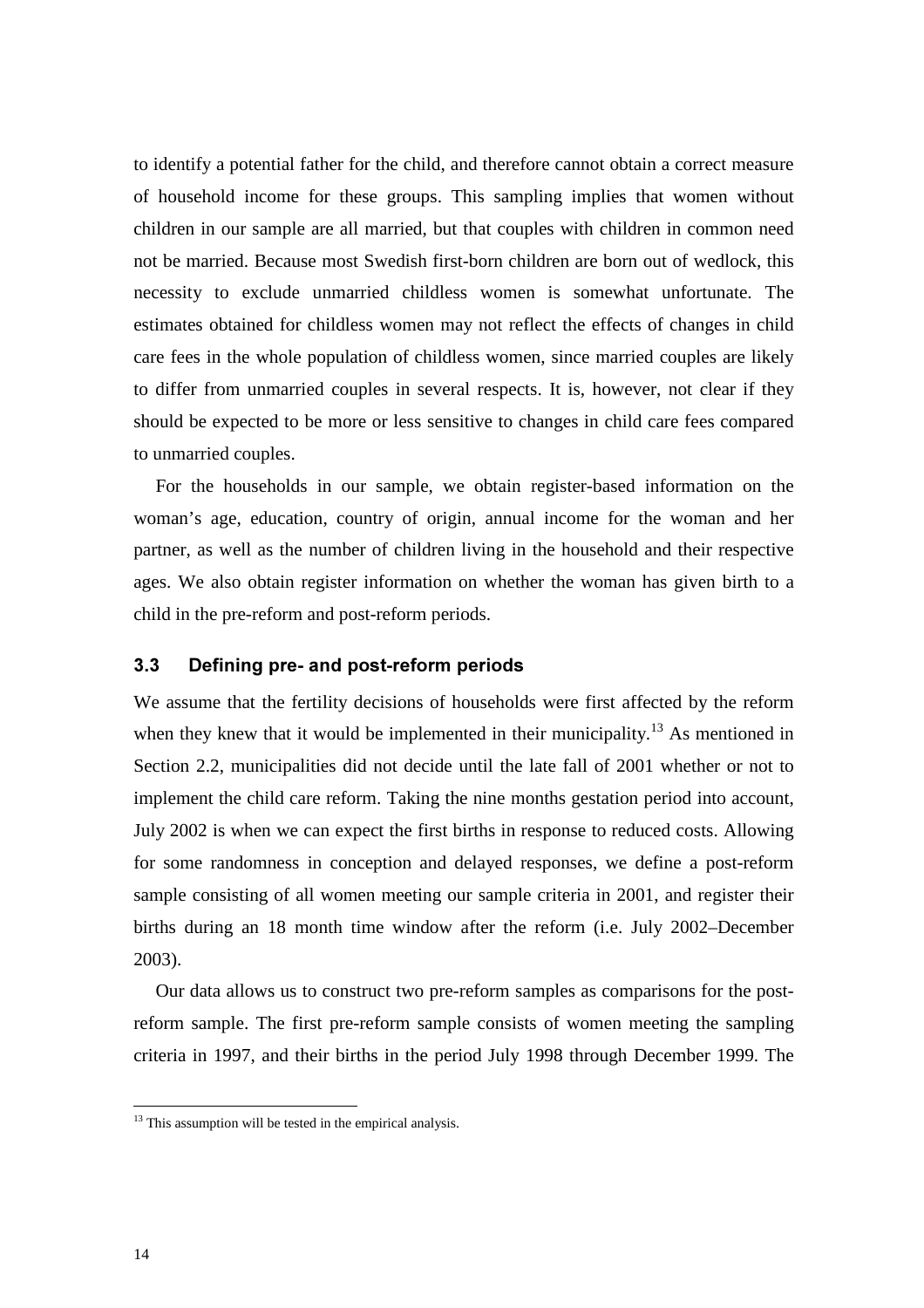to identify a potential father for the child, and therefore cannot obtain a correct measure of household income for these groups. This sampling implies that women without children in our sample are all married, but that couples with children in common need not be married. Because most Swedish first-born children are born out of wedlock, this necessity to exclude unmarried childless women is somewhat unfortunate. The estimates obtained for childless women may not reflect the effects of changes in child care fees in the whole population of childless women, since married couples are likely to differ from unmarried couples in several respects. It is, however, not clear if they should be expected to be more or less sensitive to changes in child care fees compared to unmarried couples.

For the households in our sample, we obtain register-based information on the woman's age, education, country of origin, annual income for the woman and her partner, as well as the number of children living in the household and their respective ages. We also obtain register information on whether the woman has given birth to a child in the pre-reform and post-reform periods.

### **3.3** Defining pre- and post-reform periods

We assume that the fertility decisions of households were first affected by the reform when they knew that it would be implemented in their municipality.<sup>13</sup> As mentioned in Section 2.2, municipalities did not decide until the late fall of 2001 whether or not to implement the child care reform. Taking the nine months gestation period into account, July 2002 is when we can expect the first births in response to reduced costs. Allowing for some randomness in conception and delayed responses, we define a post-reform sample consisting of all women meeting our sample criteria in 2001, and register their births during an 18 month time window after the reform (i.e. July 2002–December 2003).

Our data allows us to construct two pre-reform samples as comparisons for the postreform sample. The first pre-reform sample consists of women meeting the sampling criteria in 1997, and their births in the period July 1998 through December 1999. The

 $13$  This assumption will be tested in the empirical analysis.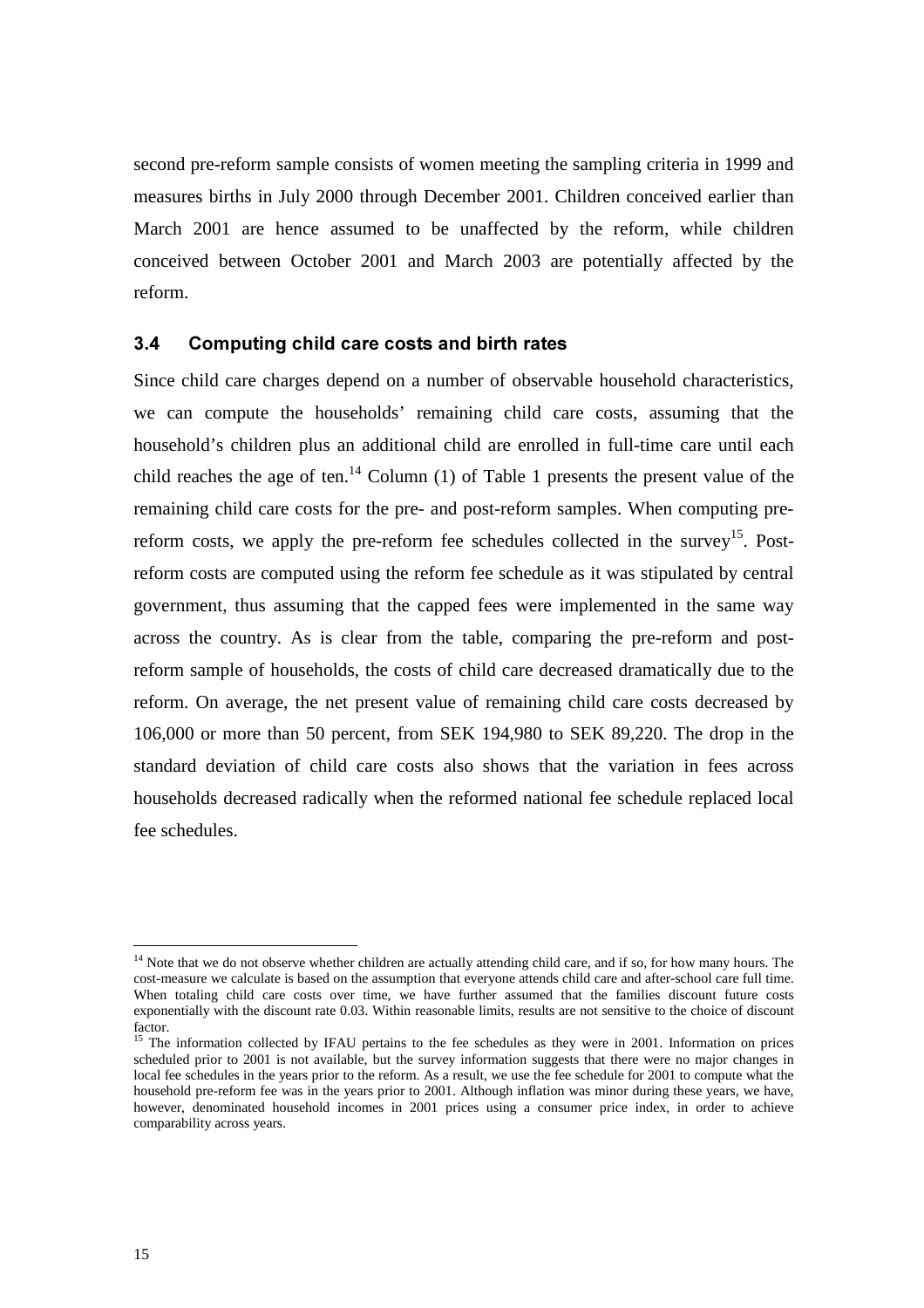second pre-reform sample consists of women meeting the sampling criteria in 1999 and measures births in July 2000 through December 2001. Children conceived earlier than March 2001 are hence assumed to be unaffected by the reform, while children conceived between October 2001 and March 2003 are potentially affected by the reform.

### **3.4 Computing child care costs and birth rates**

Since child care charges depend on a number of observable household characteristics, we can compute the households' remaining child care costs, assuming that the household's children plus an additional child are enrolled in full-time care until each child reaches the age of ten.<sup>14</sup> Column (1) of Table 1 presents the present value of the remaining child care costs for the pre- and post-reform samples. When computing prereform costs, we apply the pre-reform fee schedules collected in the survey<sup>15</sup>. Postreform costs are computed using the reform fee schedule as it was stipulated by central government, thus assuming that the capped fees were implemented in the same way across the country. As is clear from the table, comparing the pre-reform and postreform sample of households, the costs of child care decreased dramatically due to the reform. On average, the net present value of remaining child care costs decreased by 106,000 or more than 50 percent, from SEK 194,980 to SEK 89,220. The drop in the standard deviation of child care costs also shows that the variation in fees across households decreased radically when the reformed national fee schedule replaced local fee schedules.

<sup>&</sup>lt;sup>14</sup> Note that we do not observe whether children are actually attending child care, and if so, for how many hours. The cost-measure we calculate is based on the assumption that everyone attends child care and after-school care full time. When totaling child care costs over time, we have further assumed that the families discount future costs exponentially with the discount rate 0.03. Within reasonable limits, results are not sensitive to the choice of discount factor.

<sup>&</sup>lt;sup>15</sup> The information collected by IFAU pertains to the fee schedules as they were in 2001. Information on prices scheduled prior to 2001 is not available, but the survey information suggests that there were no major changes in local fee schedules in the years prior to the reform. As a result, we use the fee schedule for 2001 to compute what the household pre-reform fee was in the years prior to 2001. Although inflation was minor during these years, we have, however, denominated household incomes in 2001 prices using a consumer price index, in order to achieve comparability across years.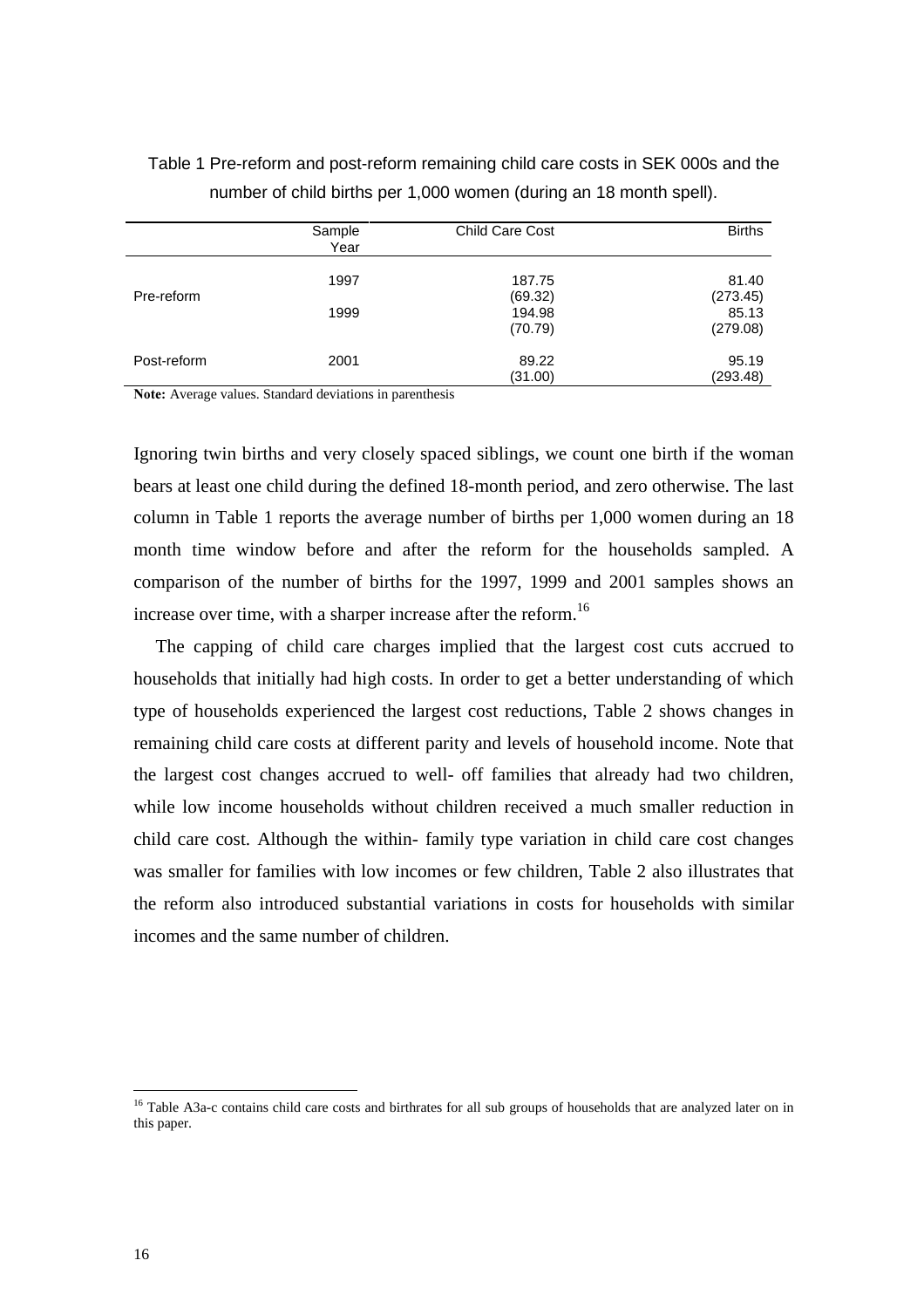|             | Sample<br>Year | <b>Child Care Cost</b> | <b>Births</b> |
|-------------|----------------|------------------------|---------------|
|             | 1997           | 187.75                 | 81.40         |
| Pre-reform  |                | (69.32)                | (273.45)      |
|             | 1999           | 194.98                 | 85.13         |
|             |                | (70.79)                | (279.08)      |
| Post-reform | 2001           | 89.22                  | 95.19         |
|             |                | (31.00)                | (293.48)      |

Table 1 Pre-reform and post-reform remaining child care costs in SEK 000s and the number of child births per 1,000 women (during an 18 month spell).

Note: Average values. Standard deviations in parenthesis

Ignoring twin births and very closely spaced siblings, we count one birth if the woman bears at least one child during the defined 18-month period, and zero otherwise. The last column in Table 1 reports the average number of births per 1,000 women during an 18 month time window before and after the reform for the households sampled. A comparison of the number of births for the 1997, 1999 and 2001 samples shows an increase over time, with a sharper increase after the reform.<sup>16</sup>

The capping of child care charges implied that the largest cost cuts accrued to households that initially had high costs. In order to get a better understanding of which type of households experienced the largest cost reductions, Table 2 shows changes in remaining child care costs at different parity and levels of household income. Note that the largest cost changes accrued to well- off families that already had two children, while low income households without children received a much smaller reduction in child care cost. Although the within- family type variation in child care cost changes was smaller for families with low incomes or few children, Table 2 also illustrates that the reform also introduced substantial variations in costs for households with similar incomes and the same number of children.

<sup>&</sup>lt;sup>16</sup> Table A3a-c contains child care costs and birthrates for all sub groups of households that are analyzed later on in this paper.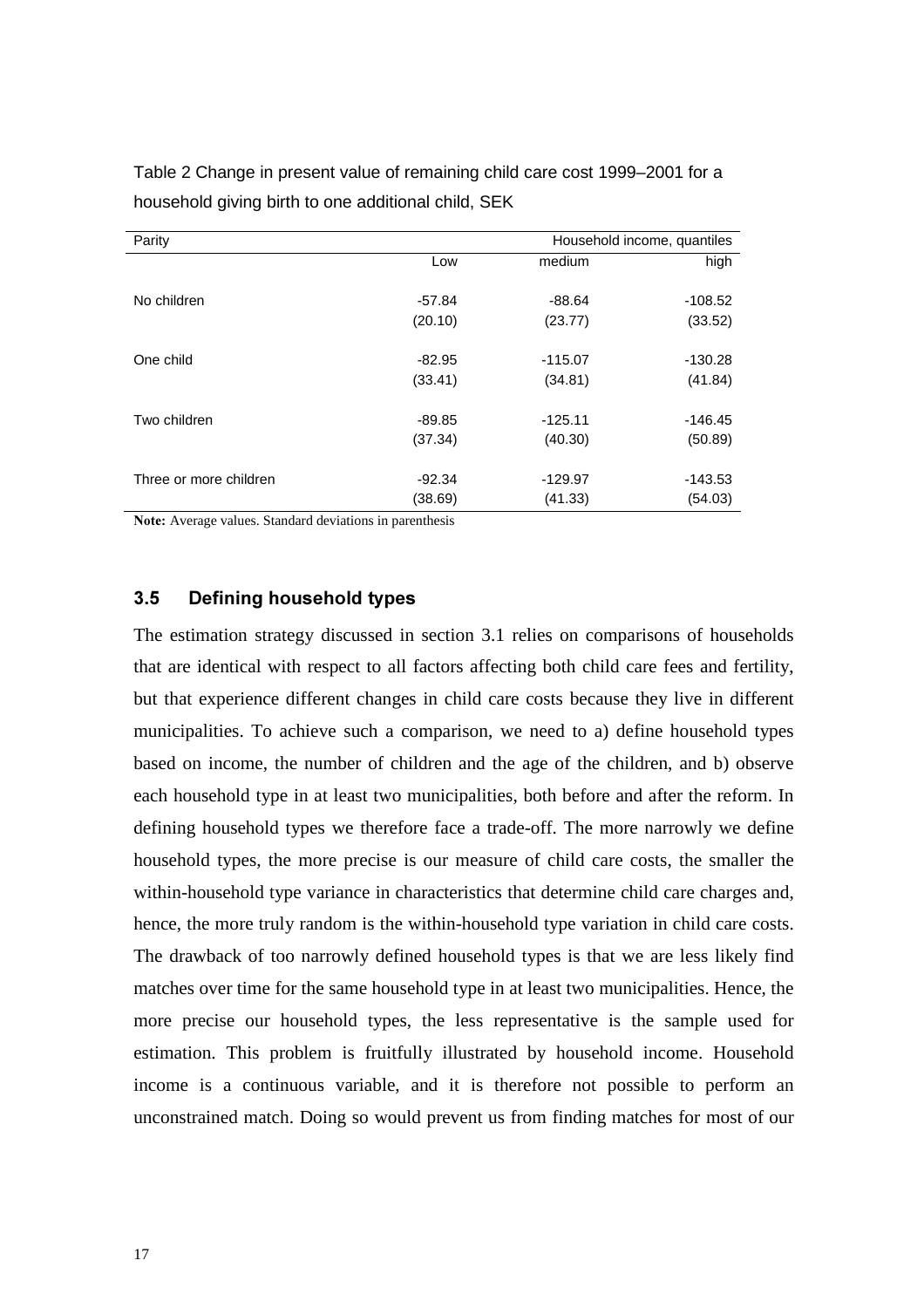| Parity                 |          |           | Household income, quantiles |  |  |
|------------------------|----------|-----------|-----------------------------|--|--|
|                        | Low      | medium    | high                        |  |  |
|                        |          |           |                             |  |  |
| No children            | $-57.84$ | $-88.64$  | $-108.52$                   |  |  |
|                        | (20.10)  | (23.77)   | (33.52)                     |  |  |
|                        |          |           |                             |  |  |
| One child              | $-82.95$ | $-115.07$ | $-130.28$                   |  |  |
|                        | (33.41)  | (34.81)   | (41.84)                     |  |  |
|                        |          |           |                             |  |  |
| Two children           | -89.85   | $-125.11$ | $-146.45$                   |  |  |
|                        | (37.34)  | (40.30)   | (50.89)                     |  |  |
|                        |          |           |                             |  |  |
| Three or more children | $-92.34$ | $-129.97$ | $-143.53$                   |  |  |
|                        | (38.69)  | (41.33)   | (54.03)                     |  |  |

Table 2 Change in present value of remaining child care cost 1999–2001 for a household giving birth to one additional child, SEK

Note: Average values. Standard deviations in parenthesis

### **3.5 Defining household types**

The estimation strategy discussed in section 3.1 relies on comparisons of households that are identical with respect to all factors affecting both child care fees and fertility, but that experience different changes in child care costs because they live in different municipalities. To achieve such a comparison, we need to a) define household types based on income, the number of children and the age of the children, and b) observe each household type in at least two municipalities, both before and after the reform. In defining household types we therefore face a trade-off. The more narrowly we define household types, the more precise is our measure of child care costs, the smaller the within-household type variance in characteristics that determine child care charges and, hence, the more truly random is the within-household type variation in child care costs. The drawback of too narrowly defined household types is that we are less likely find matches over time for the same household type in at least two municipalities. Hence, the more precise our household types, the less representative is the sample used for estimation. This problem is fruitfully illustrated by household income. Household income is a continuous variable, and it is therefore not possible to perform an unconstrained match. Doing so would prevent us from finding matches for most of our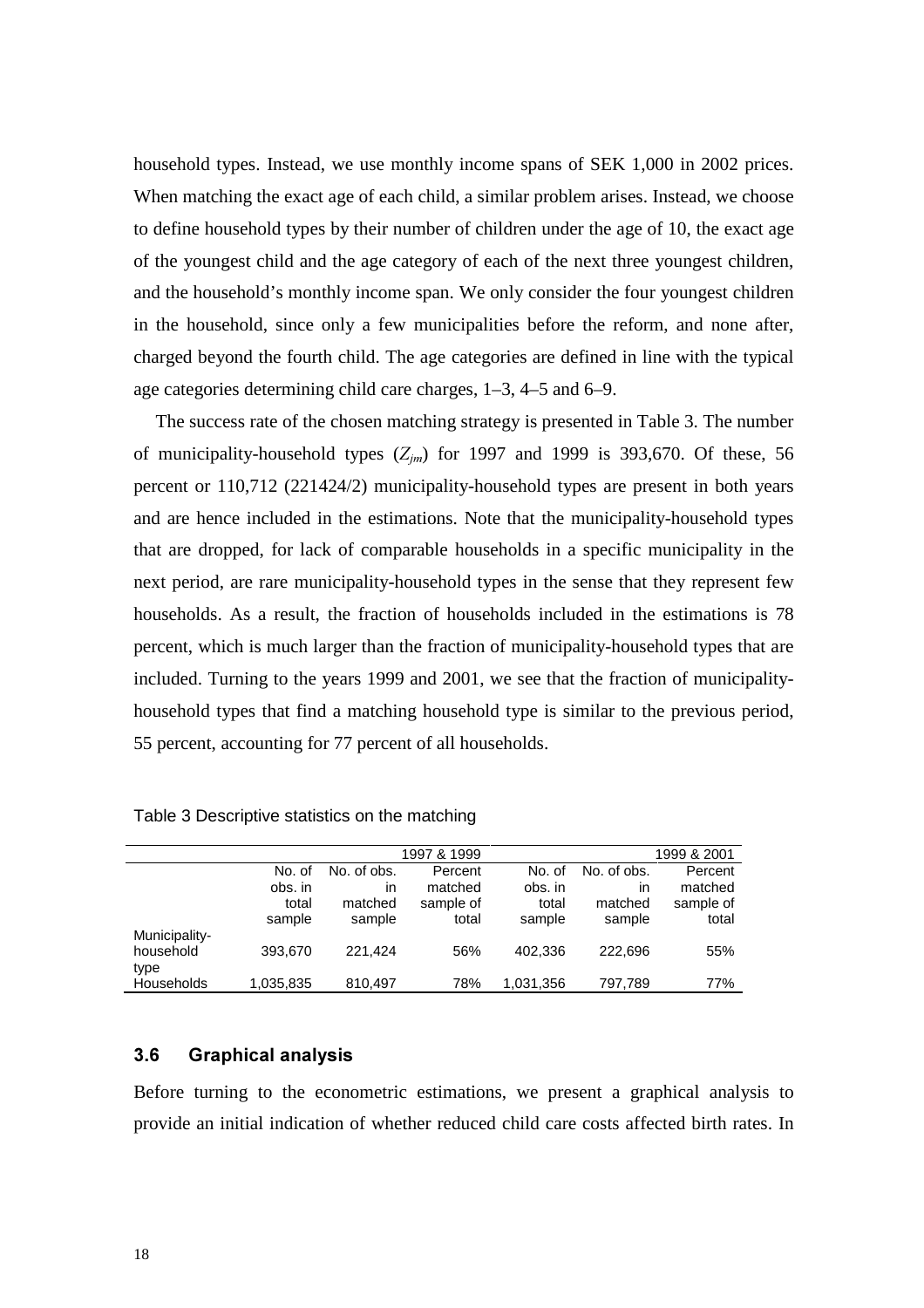household types. Instead, we use monthly income spans of SEK 1,000 in 2002 prices. When matching the exact age of each child, a similar problem arises. Instead, we choose to define household types by their number of children under the age of 10, the exact age of the youngest child and the age category of each of the next three youngest children, and the household's monthly income span. We only consider the four youngest children in the household, since only a few municipalities before the reform, and none after, charged beyond the fourth child. The age categories are defined in line with the typical age categories determining child care charges, 1–3, 4–5 and 6–9.

The success rate of the chosen matching strategy is presented in Table 3. The number of municipality-household types ( $Z_{im}$ ) for 1997 and 1999 is 393,670. Of these, 56 percent or 110,712 (221424/2) municipality-household types are present in both years and are hence included in the estimations. Note that the municipality-household types that are dropped, for lack of comparable households in a specific municipality in the next period, are rare municipality-household types in the sense that they represent few households. As a result, the fraction of households included in the estimations is 78 percent, which is much larger than the fraction of municipality-household types that are included. Turning to the years 1999 and 2001, we see that the fraction of municipalityhousehold types that find a matching household type is similar to the previous period, 55 percent, accounting for 77 percent of all households.

|               |           |             | 1997 & 1999 |           |             | 1999 & 2001 |
|---------------|-----------|-------------|-------------|-----------|-------------|-------------|
|               | No. of    | No. of obs. | Percent     | No. of    | No. of obs. | Percent     |
|               | obs. in   | ın          | matched     | obs. in   | ın          | matched     |
|               | total     | matched     | sample of   | total     | matched     | sample of   |
|               | sample    | sample      | total       | sample    | sample      | total       |
| Municipality- |           |             |             |           |             |             |
| household     | 393.670   | 221.424     | 56%         | 402,336   | 222.696     | 55%         |
| type          |           |             |             |           |             |             |
| Households    | 1,035,835 | 810.497     | 78%         | 1,031,356 | 797,789     | 77%         |

Table 3 Descriptive statistics on the matching

### **3.6 Graphical analysis**

Before turning to the econometric estimations, we present a graphical analysis to provide an initial indication of whether reduced child care costs affected birth rates. In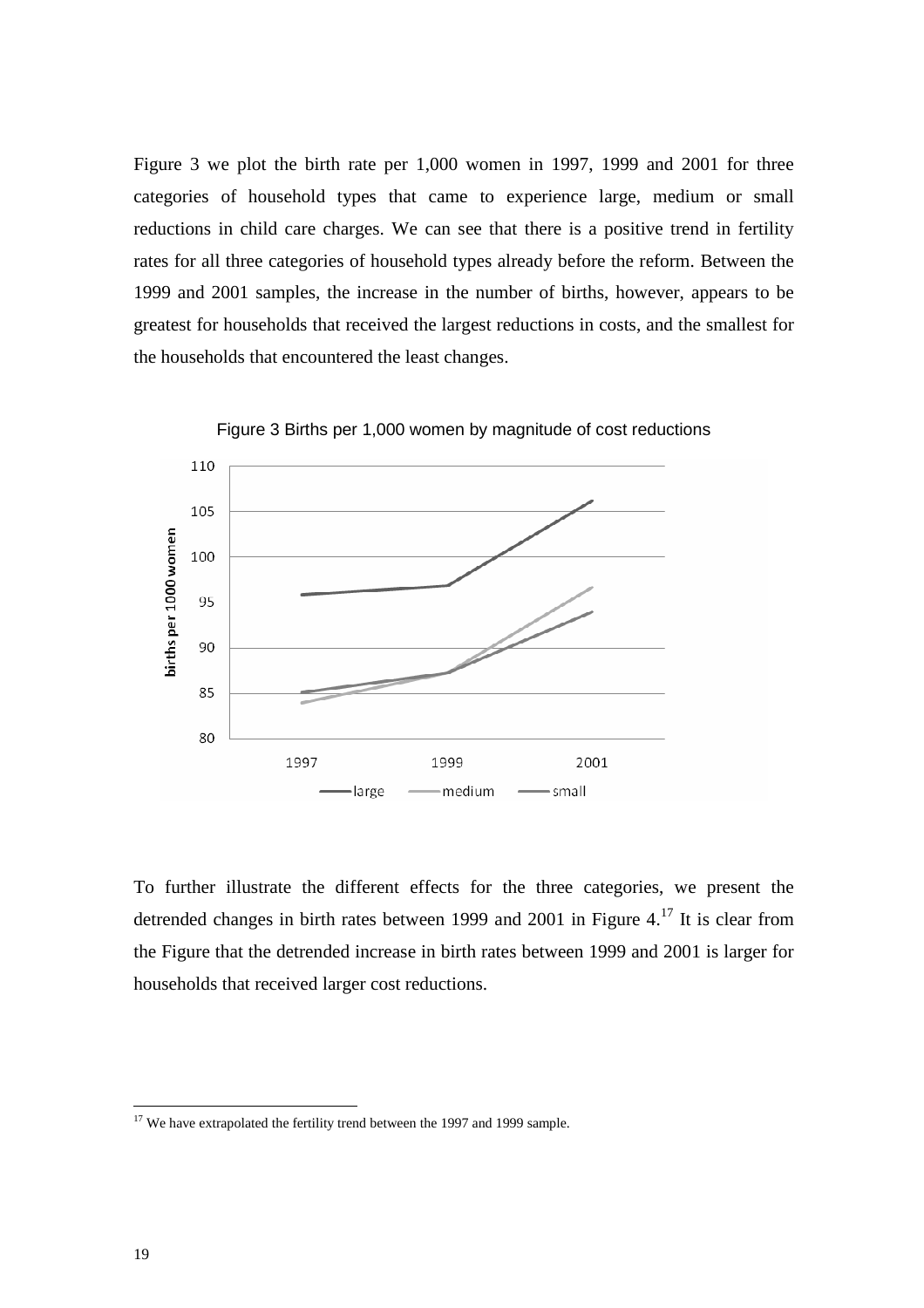Figure 3 we plot the birth rate per 1,000 women in 1997, 1999 and 2001 for three categories of household types that came to experience large, medium or small reductions in child care charges. We can see that there is a positive trend in fertility rates for all three categories of household types already before the reform. Between the 1999 and 2001 samples, the increase in the number of births, however, appears to be greatest for households that received the largest reductions in costs, and the smallest for the households that encountered the least changes.



Figure 3 Births per 1,000 women by magnitude of cost reductions

To further illustrate the different effects for the three categories, we present the detrended changes in birth rates between 1999 and 2001 in Figure 4.<sup>17</sup> It is clear from the Figure that the detrended increase in birth rates between 1999 and 2001 is larger for households that received larger cost reductions.

<sup>&</sup>lt;sup>17</sup> We have extrapolated the fertility trend between the 1997 and 1999 sample.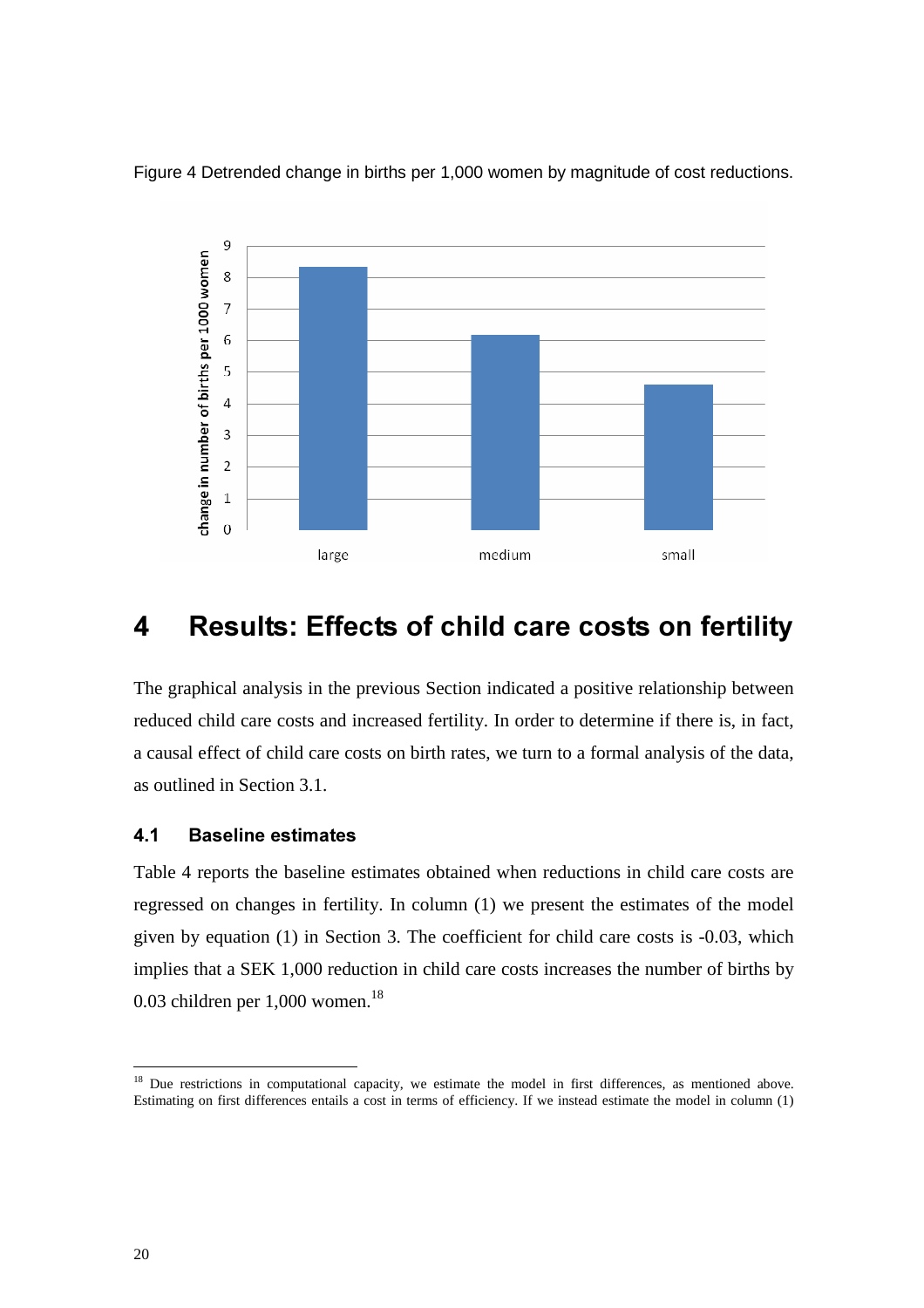



# 4 Results: Effects of child care costs on fertility

The graphical analysis in the previous Section indicated a positive relationship between reduced child care costs and increased fertility. In order to determine if there is, in fact, a causal effect of child care costs on birth rates, we turn to a formal analysis of the data, as outlined in Section 3.1.

### **4.1 Baseline estimates**

Table 4 reports the baseline estimates obtained when reductions in child care costs are regressed on changes in fertility. In column (1) we present the estimates of the model given by equation (1) in Section 3. The coefficient for child care costs is -0.03, which implies that a SEK 1,000 reduction in child care costs increases the number of births by 0.03 children per  $1,000$  women.<sup>18</sup>

<sup>&</sup>lt;sup>18</sup> Due restrictions in computational capacity, we estimate the model in first differences, as mentioned above. Estimating on first differences entails a cost in terms of efficiency. If we instead estimate the model in column (1)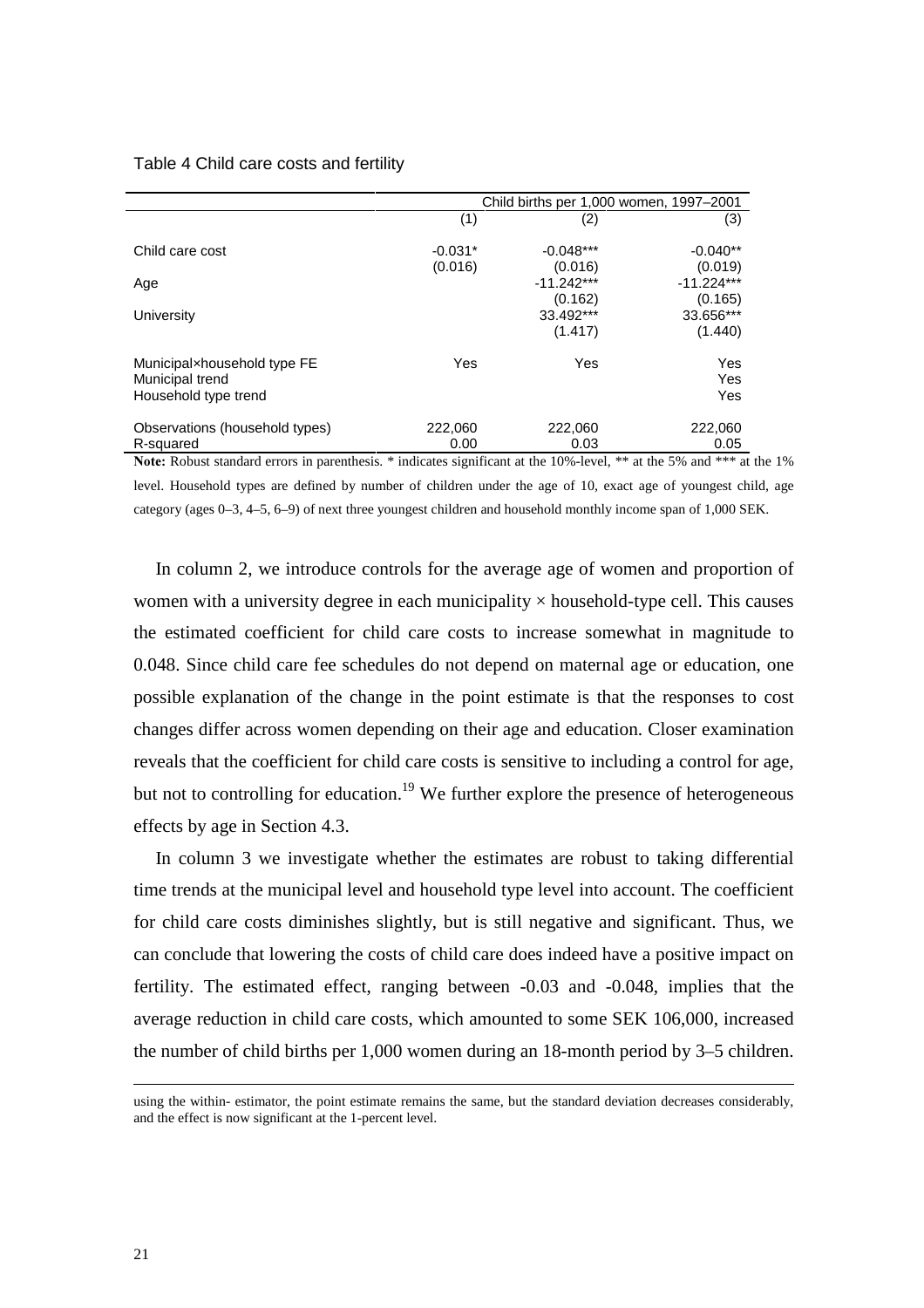### Table 4 Child care costs and fertility

|                                                                                                                       |           | Child births per 1,000 women, 1997-2001 |                         |  |  |
|-----------------------------------------------------------------------------------------------------------------------|-----------|-----------------------------------------|-------------------------|--|--|
|                                                                                                                       | (1)       | (2)                                     | (3)                     |  |  |
| Child care cost                                                                                                       | $-0.031*$ | $-0.048***$                             | $-0.040**$              |  |  |
| Age                                                                                                                   | (0.016)   | (0.016)<br>$-11.242***$                 | (0.019)<br>$-11.224***$ |  |  |
| University                                                                                                            |           | (0.162)<br>33.492***                    | (0.165)<br>33.656***    |  |  |
|                                                                                                                       |           | (1.417)                                 | (1.440)                 |  |  |
| Municipalxhousehold type FE                                                                                           | Yes       | Yes                                     | Yes                     |  |  |
| Municipal trend                                                                                                       |           |                                         | Yes                     |  |  |
| Household type trend                                                                                                  |           |                                         | Yes                     |  |  |
| Observations (household types)                                                                                        | 222,060   | 222,060                                 | 222,060                 |  |  |
| R-squared                                                                                                             | 0.00      | 0.03                                    | 0.05                    |  |  |
| Note: Robust standard errors in parenthesis. * indicates significant at the 10%-level, ** at the 5% and *** at the 1% |           |                                         |                         |  |  |

level. Household types are defined by number of children under the age of 10, exact age of youngest child, age category (ages 0–3, 4–5, 6–9) of next three youngest children and household monthly income span of 1,000 SEK.

In column 2, we introduce controls for the average age of women and proportion of women with a university degree in each municipality  $\times$  household-type cell. This causes the estimated coefficient for child care costs to increase somewhat in magnitude to 0.048. Since child care fee schedules do not depend on maternal age or education, one possible explanation of the change in the point estimate is that the responses to cost changes differ across women depending on their age and education. Closer examination reveals that the coefficient for child care costs is sensitive to including a control for age, but not to controlling for education.<sup>19</sup> We further explore the presence of heterogeneous effects by age in Section 4.3.

In column 3 we investigate whether the estimates are robust to taking differential time trends at the municipal level and household type level into account. The coefficient for child care costs diminishes slightly, but is still negative and significant. Thus, we can conclude that lowering the costs of child care does indeed have a positive impact on fertility. The estimated effect, ranging between -0.03 and -0.048, implies that the average reduction in child care costs, which amounted to some SEK 106,000, increased the number of child births per 1,000 women during an 18-month period by 3–5 children.

using the within- estimator, the point estimate remains the same, but the standard deviation decreases considerably, and the effect is now significant at the 1-percent level.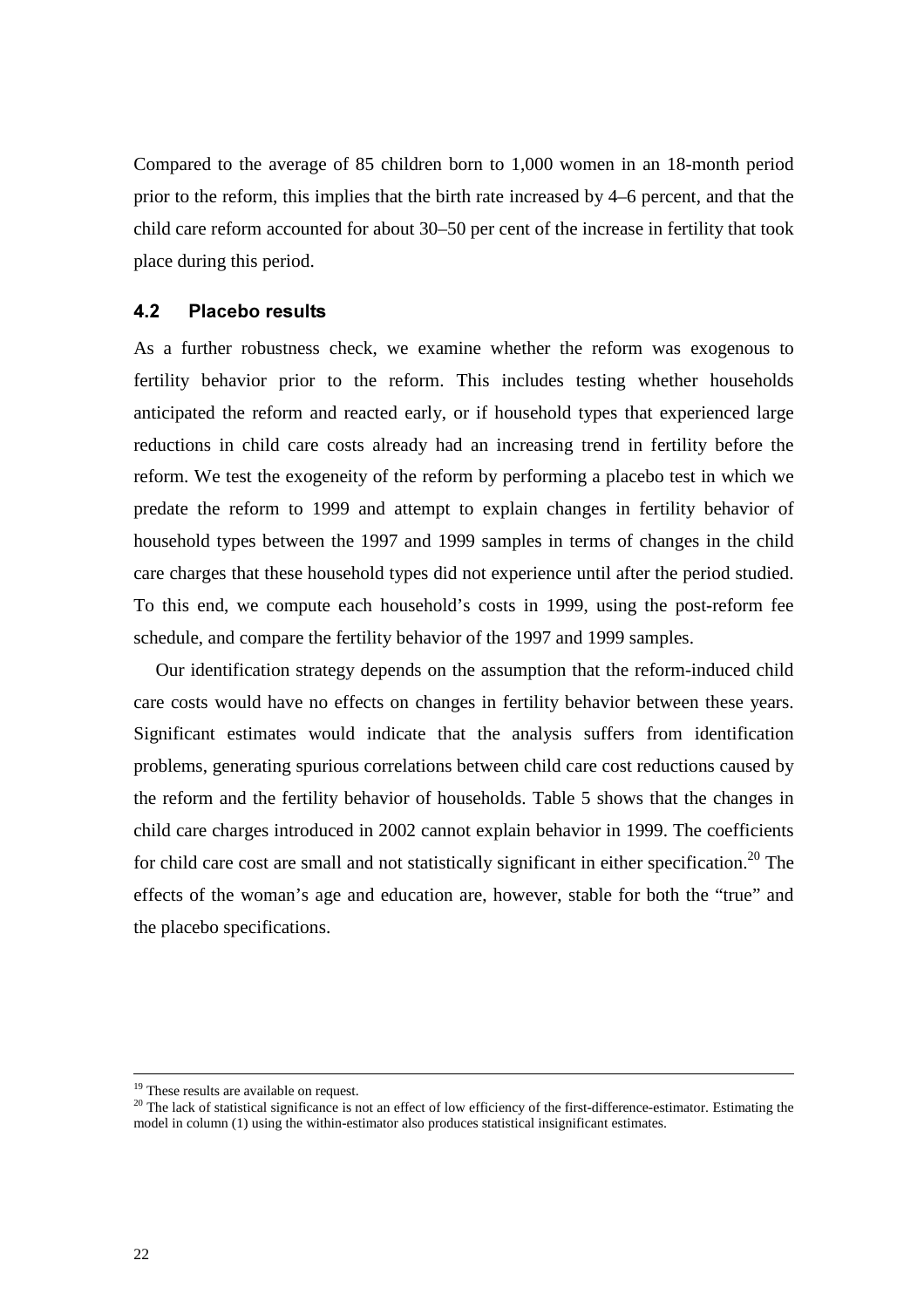Compared to the average of 85 children born to 1,000 women in an 18-month period prior to the reform, this implies that the birth rate increased by 4–6 percent, and that the child care reform accounted for about 30–50 per cent of the increase in fertility that took place during this period.

### **4.2 Placebo results**

As a further robustness check, we examine whether the reform was exogenous to fertility behavior prior to the reform. This includes testing whether households anticipated the reform and reacted early, or if household types that experienced large reductions in child care costs already had an increasing trend in fertility before the reform. We test the exogeneity of the reform by performing a placebo test in which we predate the reform to 1999 and attempt to explain changes in fertility behavior of household types between the 1997 and 1999 samples in terms of changes in the child care charges that these household types did not experience until after the period studied. To this end, we compute each household's costs in 1999, using the post-reform fee schedule, and compare the fertility behavior of the 1997 and 1999 samples.

Our identification strategy depends on the assumption that the reform-induced child care costs would have no effects on changes in fertility behavior between these years. Significant estimates would indicate that the analysis suffers from identification problems, generating spurious correlations between child care cost reductions caused by the reform and the fertility behavior of households. Table 5 shows that the changes in child care charges introduced in 2002 cannot explain behavior in 1999. The coefficients for child care cost are small and not statistically significant in either specification.<sup>20</sup> The effects of the woman's age and education are, however, stable for both the "true" and the placebo specifications.

 $19$  These results are available on request.

<sup>&</sup>lt;sup>20</sup> The lack of statistical significance is not an effect of low efficiency of the first-difference-estimator. Estimating the model in column (1) using the within-estimator also produces statistical insignificant estimates.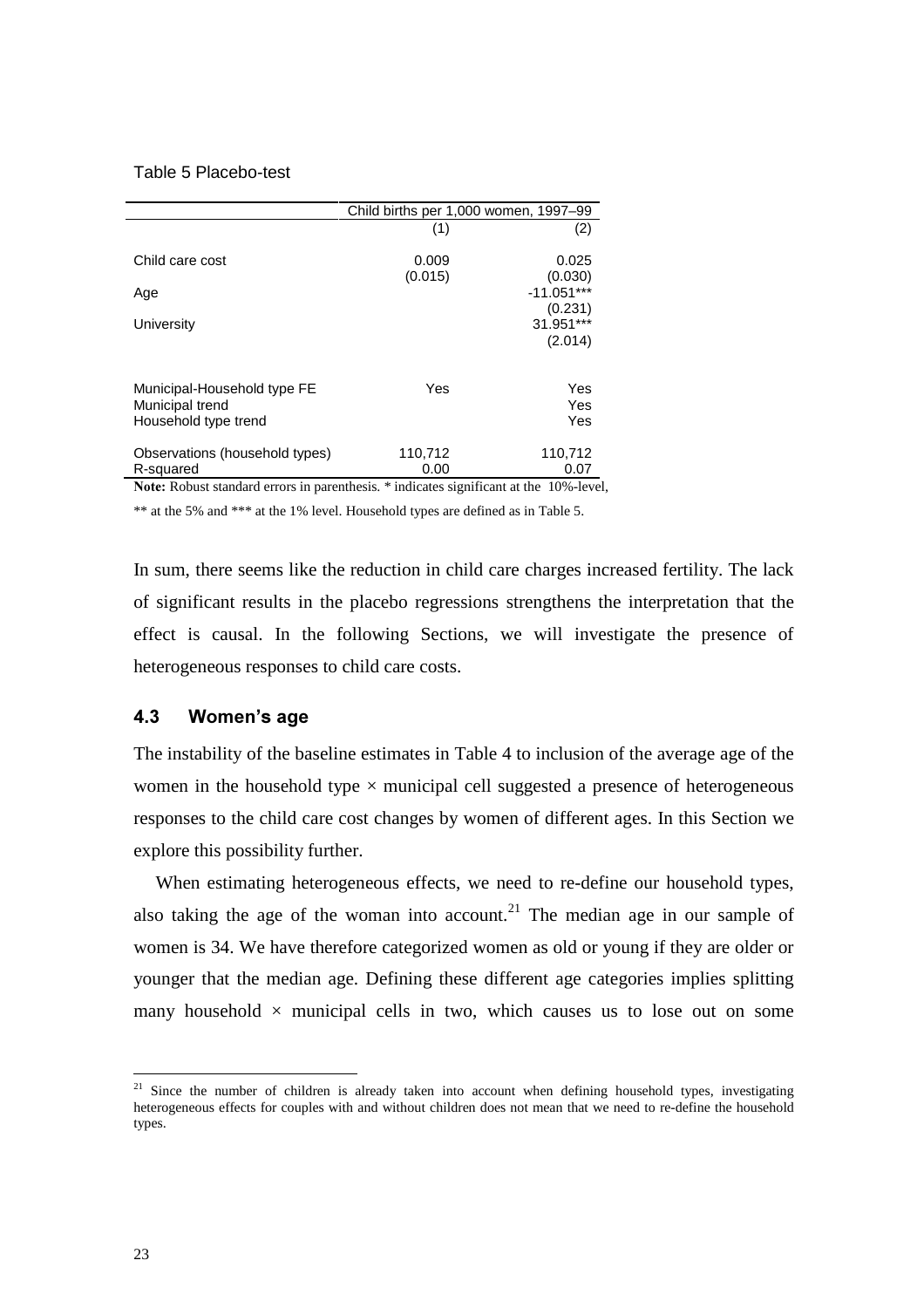### Table 5 Placebo-test

|                                                                        | Child births per 1,000 women, 1997–99 |                         |  |
|------------------------------------------------------------------------|---------------------------------------|-------------------------|--|
|                                                                        | (1)                                   | (2)                     |  |
| Child care cost                                                        | 0.009<br>(0.015)                      | 0.025<br>(0.030)        |  |
| Age                                                                    |                                       | $-11.051***$<br>(0.231) |  |
| University                                                             |                                       | 31.951***               |  |
|                                                                        |                                       | (2.014)                 |  |
| Municipal-Household type FE<br>Municipal trend<br>Household type trend | Yes                                   | Yes<br>Yes<br>Yes       |  |
| Observations (household types)<br>R-squared                            | 110,712<br>0.00                       | 110,712<br>0.07         |  |

Note: Robust standard errors in parenthesis. \* indicates significant at the 10%-level,

\*\* at the 5% and \*\*\* at the 1% level. Household types are defined as in Table 5.

In sum, there seems like the reduction in child care charges increased fertility. The lack of significant results in the placebo regressions strengthens the interpretation that the effect is causal. In the following Sections, we will investigate the presence of heterogeneous responses to child care costs.

### **4.3 Women's age**

The instability of the baseline estimates in Table 4 to inclusion of the average age of the women in the household type  $\times$  municipal cell suggested a presence of heterogeneous responses to the child care cost changes by women of different ages. In this Section we explore this possibility further.

When estimating heterogeneous effects, we need to re-define our household types, also taking the age of the woman into account.<sup>21</sup> The median age in our sample of women is 34. We have therefore categorized women as old or young if they are older or younger that the median age. Defining these different age categories implies splitting many household  $\times$  municipal cells in two, which causes us to lose out on some

 $21$  Since the number of children is already taken into account when defining household types, investigating heterogeneous effects for couples with and without children does not mean that we need to re-define the household types.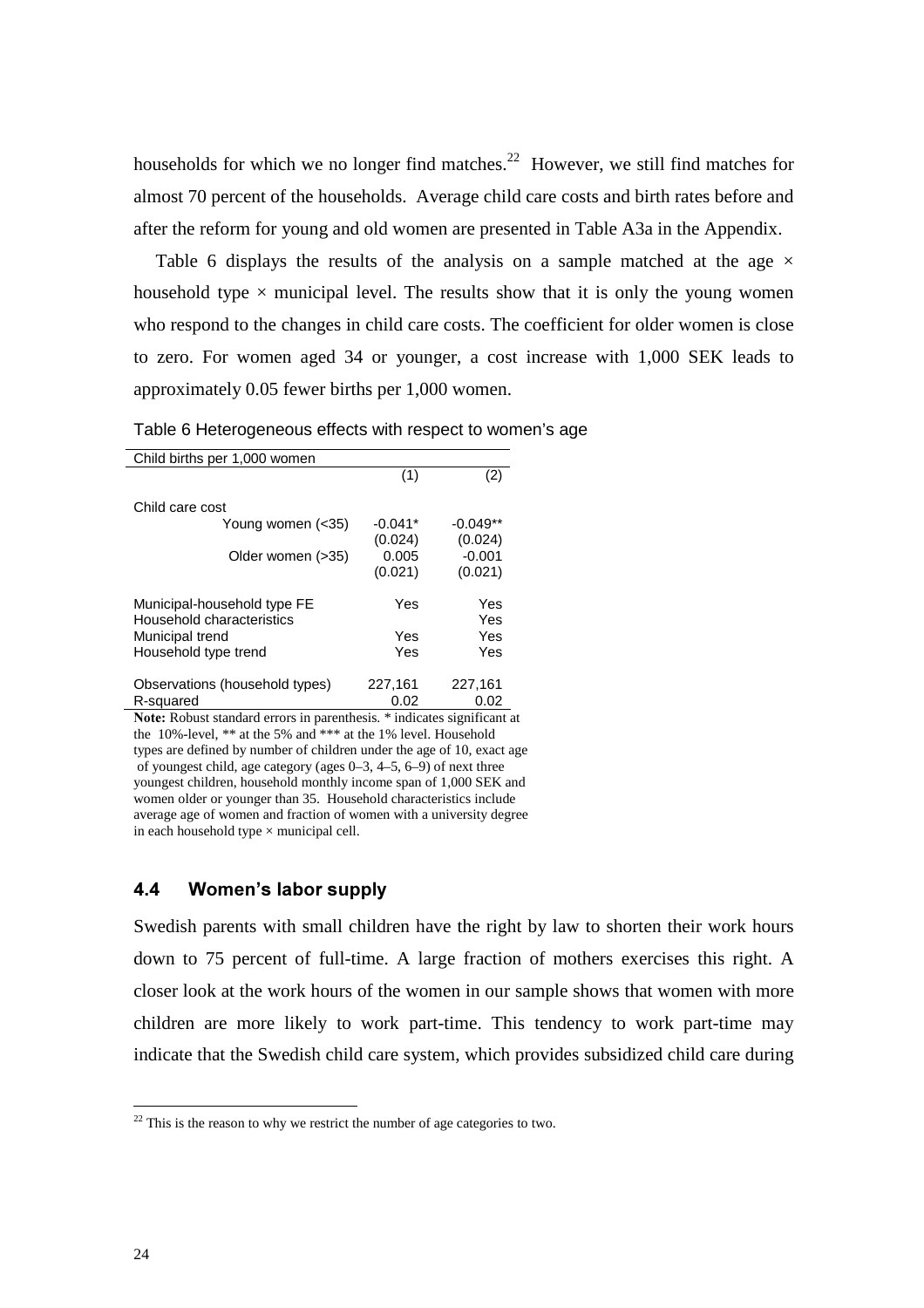households for which we no longer find matches.<sup>22</sup> However, we still find matches for almost 70 percent of the households. Average child care costs and birth rates before and after the reform for young and old women are presented in Table A3a in the Appendix.

Table 6 displays the results of the analysis on a sample matched at the age  $\times$ household type  $\times$  municipal level. The results show that it is only the young women who respond to the changes in child care costs. The coefficient for older women is close to zero. For women aged 34 or younger, a cost increase with 1,000 SEK leads to approximately 0.05 fewer births per 1,000 women.

| Child births per 1,000 women                             |           |            |
|----------------------------------------------------------|-----------|------------|
|                                                          | (1)       | (2)        |
| Child care cost                                          |           |            |
| Young women (<35)                                        | $-0.041*$ | $-0.049**$ |
|                                                          | (0.024)   | (0.024)    |
| Older women (>35)                                        | 0.005     | $-0.001$   |
|                                                          | (0.021)   | (0.021)    |
| Municipal-household type FE<br>Household characteristics | Yes       | Yes<br>Yes |
| Municipal trend                                          | Yes       | Yes        |
| Household type trend                                     | Yes       | Yes        |
| Observations (household types)                           | 227,161   | 227,161    |
| R-squared                                                | 0.02      | 0.02       |

Table 6 Heterogeneous effects with respect to women's age

Note: Robust standard errors in parenthesis. \* indicates significant at the 10%-level, \*\* at the 5% and \*\*\* at the 1% level. Household types are defined by number of children under the age of 10, exact age of youngest child, age category (ages 0–3, 4–5, 6–9) of next three youngest children, household monthly income span of 1,000 SEK and women older or younger than 35. Household characteristics include average age of women and fraction of women with a university degree in each household type  $\times$  municipal cell.

### **4.4 Women's labor supply**

Swedish parents with small children have the right by law to shorten their work hours down to 75 percent of full-time. A large fraction of mothers exercises this right. A closer look at the work hours of the women in our sample shows that women with more children are more likely to work part-time. This tendency to work part-time may indicate that the Swedish child care system, which provides subsidized child care during

 $22$  This is the reason to why we restrict the number of age categories to two.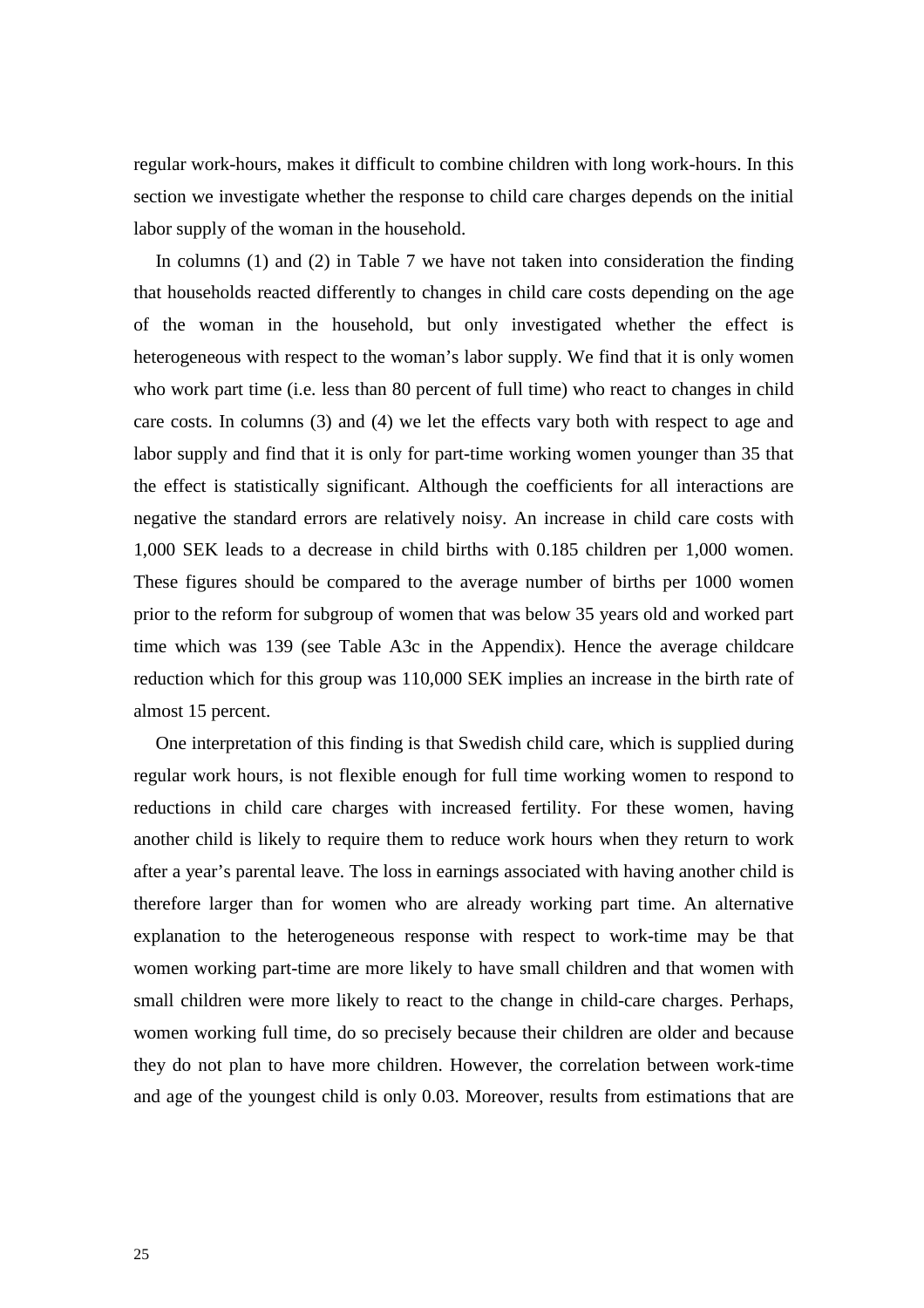regular work-hours, makes it difficult to combine children with long work-hours. In this section we investigate whether the response to child care charges depends on the initial labor supply of the woman in the household.

In columns (1) and (2) in Table 7 we have not taken into consideration the finding that households reacted differently to changes in child care costs depending on the age of the woman in the household, but only investigated whether the effect is heterogeneous with respect to the woman's labor supply. We find that it is only women who work part time (i.e. less than 80 percent of full time) who react to changes in child care costs. In columns (3) and (4) we let the effects vary both with respect to age and labor supply and find that it is only for part-time working women younger than 35 that the effect is statistically significant. Although the coefficients for all interactions are negative the standard errors are relatively noisy. An increase in child care costs with 1,000 SEK leads to a decrease in child births with 0.185 children per 1,000 women. These figures should be compared to the average number of births per 1000 women prior to the reform for subgroup of women that was below 35 years old and worked part time which was 139 (see Table A3c in the Appendix). Hence the average childcare reduction which for this group was 110,000 SEK implies an increase in the birth rate of almost 15 percent.

One interpretation of this finding is that Swedish child care, which is supplied during regular work hours, is not flexible enough for full time working women to respond to reductions in child care charges with increased fertility. For these women, having another child is likely to require them to reduce work hours when they return to work after a year's parental leave. The loss in earnings associated with having another child is therefore larger than for women who are already working part time. An alternative explanation to the heterogeneous response with respect to work-time may be that women working part-time are more likely to have small children and that women with small children were more likely to react to the change in child-care charges. Perhaps, women working full time, do so precisely because their children are older and because they do not plan to have more children. However, the correlation between work-time and age of the youngest child is only 0.03. Moreover, results from estimations that are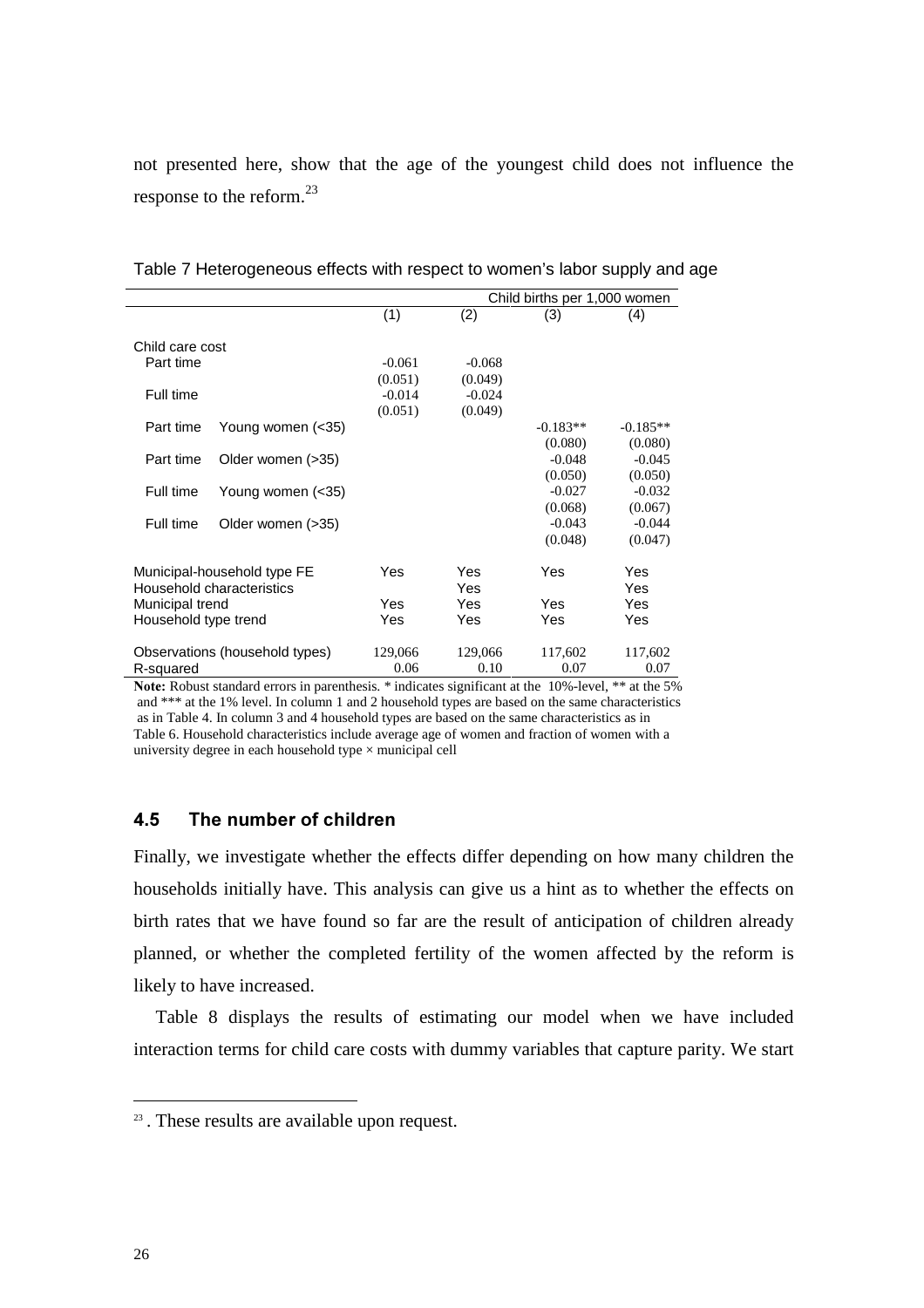not presented here, show that the age of the youngest child does not influence the response to the reform.<sup>23</sup>

|                                         |                             | Child births per 1,000 women |                |            |                     |  |
|-----------------------------------------|-----------------------------|------------------------------|----------------|------------|---------------------|--|
|                                         |                             | (1)                          | (2)            | (3)        | (4)                 |  |
| Child care cost                         |                             |                              |                |            |                     |  |
| Part time                               |                             | $-0.061$                     | $-0.068$       |            |                     |  |
|                                         |                             | (0.051)                      | (0.049)        |            |                     |  |
| Full time                               |                             | $-0.014$                     | $-0.024$       |            |                     |  |
|                                         |                             | (0.051)                      | (0.049)        |            |                     |  |
| Part time                               | Young women (<35)           |                              |                | $-0.183**$ | $-0.185**$          |  |
|                                         |                             |                              |                | (0.080)    | (0.080)             |  |
| Part time                               | Older women (>35)           |                              |                | $-0.048$   | $-0.045$            |  |
|                                         |                             |                              |                | (0.050)    | (0.050)             |  |
| Full time                               | Young women (<35)           |                              |                | $-0.027$   | $-0.032$            |  |
|                                         |                             |                              |                | (0.068)    | (0.067)             |  |
| Full time                               | Older women (>35)           |                              |                | $-0.043$   | $-0.044$            |  |
|                                         |                             |                              |                | (0.048)    | (0.047)             |  |
|                                         |                             |                              |                |            |                     |  |
|                                         | Municipal-household type FE | Yes                          | Yes            | Yes        | Yes                 |  |
|                                         | Household characteristics   |                              | Yes            |            | <b>Yes</b>          |  |
| Municipal trend                         |                             | Yes                          | Yes            | Yes        | Yes                 |  |
| Household type trend                    |                             | Yes                          | Yes            | Yes        | Yes                 |  |
| Observations (household types)          |                             | 129,066                      | 129,066        | 117,602    | 117,602             |  |
| R-squared                               |                             | 0.06                         | 0.10           | 0.07       | 0.07                |  |
| $\mathbf{r}$ in the set of $\mathbf{r}$ | $\cdot$ 1                   | ۰ م                          | $\cdot$ $\sim$ | 100/1      | $1 - 4$ and $1 - 1$ |  |

Table 7 Heterogeneous effects with respect to women's labor supply and age

Note: Robust standard errors in parenthesis. \* indicates significant at the 10%-level, \*\* at the 5% and \*\*\* at the 1% level. In column 1 and 2 household types are based on the same characteristics as in Table 4. In column 3 and 4 household types are based on the same characteristics as in Table 6. Household characteristics include average age of women and fraction of women with a university degree in each household type  $\times$  municipal cell

### **4.5** The number of children

Finally, we investigate whether the effects differ depending on how many children the households initially have. This analysis can give us a hint as to whether the effects on birth rates that we have found so far are the result of anticipation of children already planned, or whether the completed fertility of the women affected by the reform is likely to have increased.

Table 8 displays the results of estimating our model when we have included interaction terms for child care costs with dummy variables that capture parity. We start

<sup>23</sup> . These results are available upon request.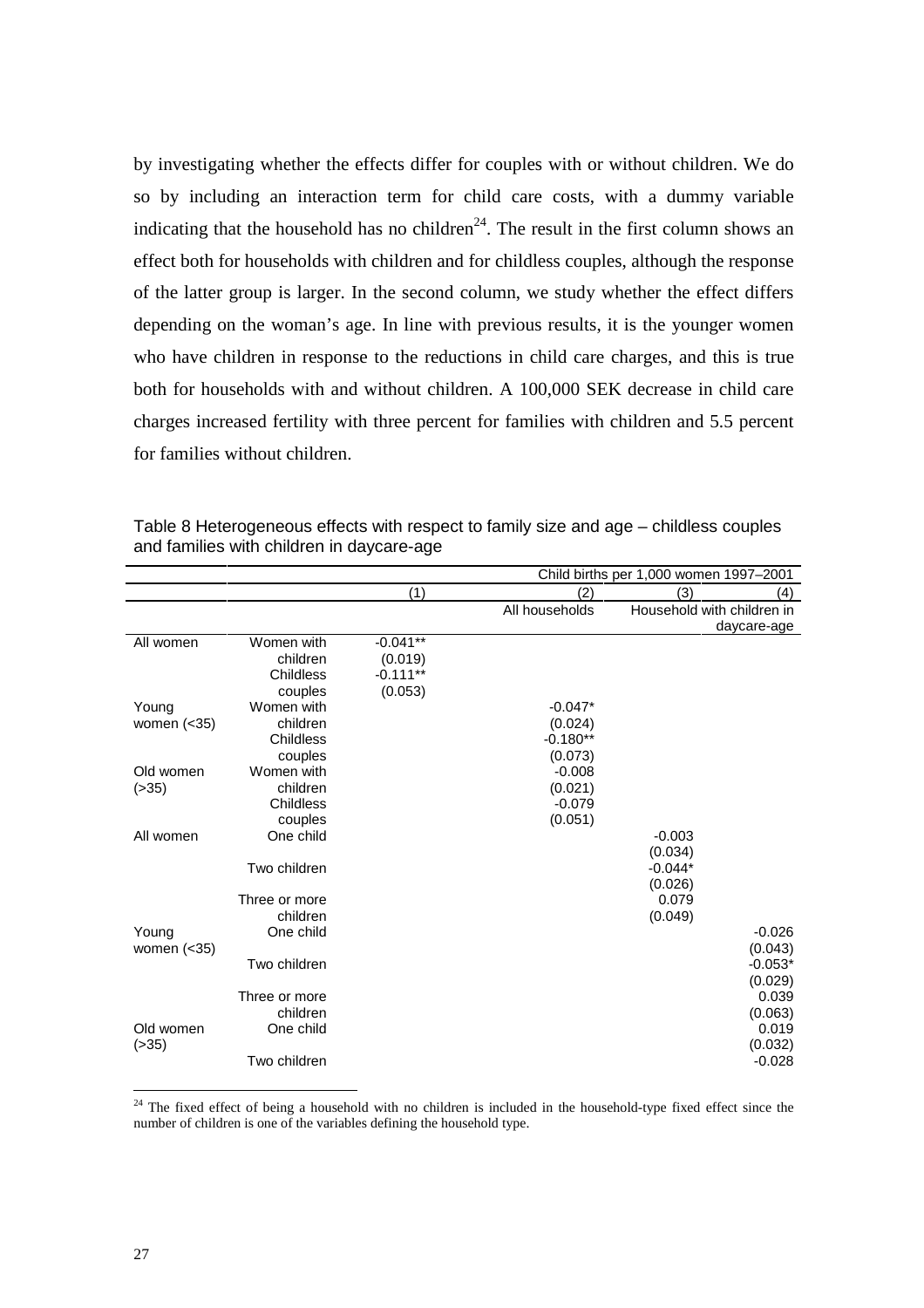by investigating whether the effects differ for couples with or without children. We do so by including an interaction term for child care costs, with a dummy variable indicating that the household has no children<sup>24</sup>. The result in the first column shows an effect both for households with children and for childless couples, although the response of the latter group is larger. In the second column, we study whether the effect differs depending on the woman's age. In line with previous results, it is the younger women who have children in response to the reductions in child care charges, and this is true both for households with and without children. A 100,000 SEK decrease in child care charges increased fertility with three percent for families with children and 5.5 percent for families without children.

|               | Child births per 1,000 women 1997-2001 |            |                |           |                            |
|---------------|----------------------------------------|------------|----------------|-----------|----------------------------|
|               |                                        | (1)        | (2)            | (3)       | (4)                        |
|               |                                        |            | All households |           | Household with children in |
|               |                                        |            |                |           | daycare-age                |
| All women     | Women with                             | $-0.041**$ |                |           |                            |
|               | children                               | (0.019)    |                |           |                            |
|               | Childless                              | $-0.111**$ |                |           |                            |
|               | couples                                | (0.053)    |                |           |                            |
| Young         | Women with                             |            | $-0.047*$      |           |                            |
| women $(<35)$ | children                               |            | (0.024)        |           |                            |
|               | Childless                              |            | $-0.180**$     |           |                            |
|               | couples                                |            | (0.073)        |           |                            |
| Old women     | Women with                             |            | $-0.008$       |           |                            |
| ( > 35)       | children                               |            | (0.021)        |           |                            |
|               | Childless                              |            | $-0.079$       |           |                            |
|               | couples                                |            | (0.051)        |           |                            |
| All women     | One child                              |            |                | $-0.003$  |                            |
|               |                                        |            |                | (0.034)   |                            |
|               | Two children                           |            |                | $-0.044*$ |                            |
|               |                                        |            |                | (0.026)   |                            |
|               | Three or more                          |            |                | 0.079     |                            |
|               | children                               |            |                | (0.049)   |                            |
| Young         | One child                              |            |                |           | $-0.026$                   |
| women $(<35)$ | Two children                           |            |                |           | (0.043)                    |
|               |                                        |            |                |           | $-0.053*$                  |
|               | Three or more                          |            |                |           | (0.029)<br>0.039           |
|               | children                               |            |                |           | (0.063)                    |
| Old women     | One child                              |            |                |           | 0.019                      |
| ( > 35)       |                                        |            |                |           | (0.032)                    |
|               | Two children                           |            |                |           | $-0.028$                   |
|               |                                        |            |                |           |                            |

Table 8 Heterogeneous effects with respect to family size and age – childless couples and families with children in daycare-age

 $24$  The fixed effect of being a household with no children is included in the household-type fixed effect since the number of children is one of the variables defining the household type.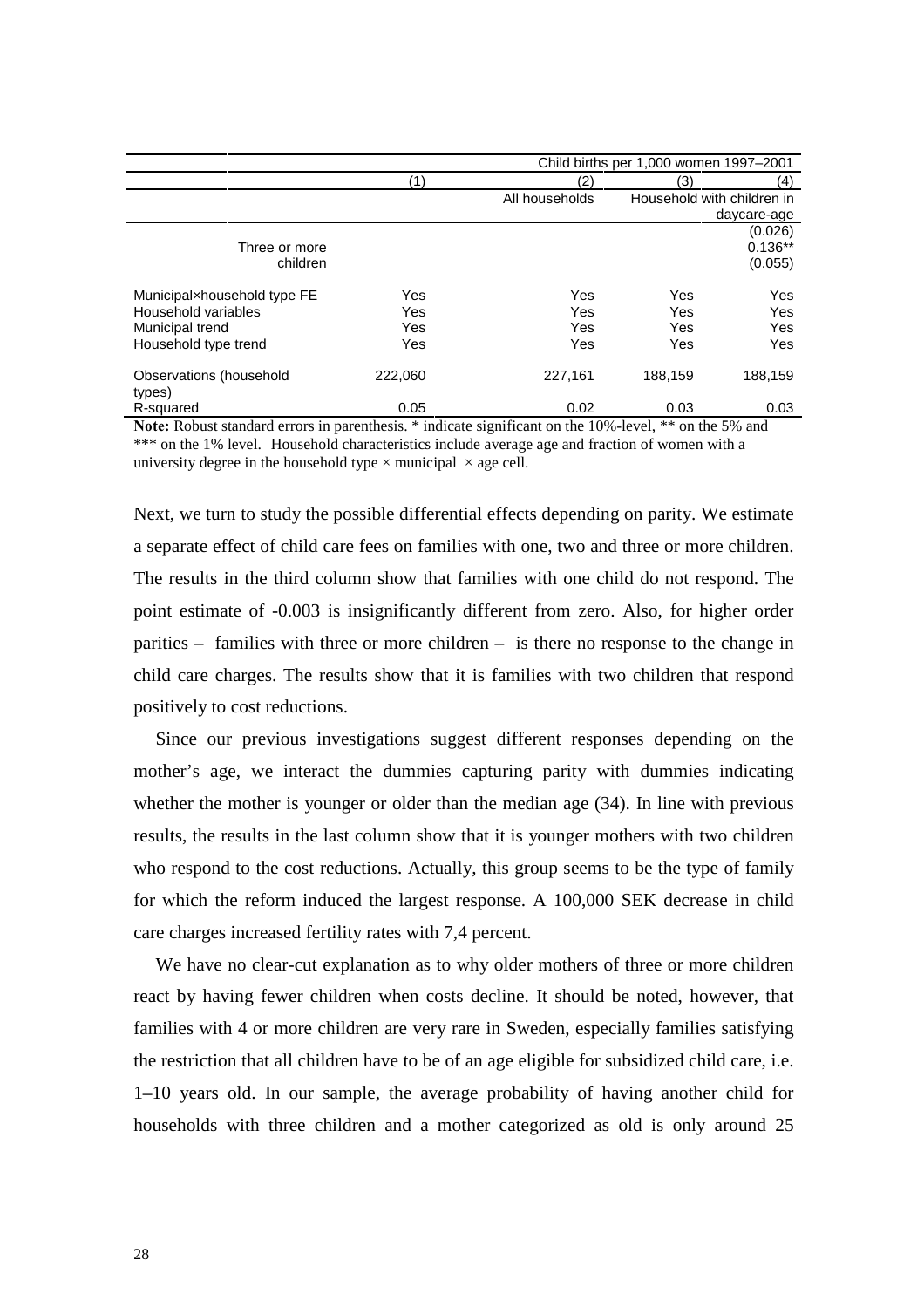|                                   |              | Child births per 1,000 women 1997-2001 |         |                            |
|-----------------------------------|--------------|----------------------------------------|---------|----------------------------|
|                                   | $\mathbf{1}$ | (2)                                    | (3)     | (4)                        |
|                                   |              | All households                         |         | Household with children in |
|                                   |              |                                        |         | daycare-age                |
|                                   |              |                                        |         | (0.026)                    |
| Three or more                     |              |                                        |         | $0.136**$                  |
| children                          |              |                                        |         | (0.055)                    |
| Municipalxhousehold type FE       | Yes          | Yes                                    | Yes     | Yes                        |
| Household variables               | <b>Yes</b>   | Yes                                    | Yes     | Yes                        |
| Municipal trend                   | <b>Yes</b>   | Yes                                    | Yes     | Yes                        |
| Household type trend              | <b>Yes</b>   | Yes                                    | Yes     | Yes                        |
| Observations (household<br>types) | 222,060      | 227,161                                | 188,159 | 188,159                    |
| R-squared                         | 0.05         | 0.02                                   | 0.03    | 0.03                       |

**Note:** Robust standard errors in parenthesis. \* indicate significant on the 10%-level, \*\* on the 5% and \*\*\* on the 1% level. Household characteristics include average age and fraction of women with a university degree in the household type  $\times$  municipal  $\times$  age cell.

Next, we turn to study the possible differential effects depending on parity. We estimate a separate effect of child care fees on families with one, two and three or more children. The results in the third column show that families with one child do not respond. The point estimate of -0.003 is insignificantly different from zero. Also, for higher order parities – families with three or more children – is there no response to the change in child care charges. The results show that it is families with two children that respond positively to cost reductions.

Since our previous investigations suggest different responses depending on the mother's age, we interact the dummies capturing parity with dummies indicating whether the mother is younger or older than the median age (34). In line with previous results, the results in the last column show that it is younger mothers with two children who respond to the cost reductions. Actually, this group seems to be the type of family for which the reform induced the largest response. A 100,000 SEK decrease in child care charges increased fertility rates with 7,4 percent.

We have no clear-cut explanation as to why older mothers of three or more children react by having fewer children when costs decline. It should be noted, however, that families with 4 or more children are very rare in Sweden, especially families satisfying the restriction that all children have to be of an age eligible for subsidized child care, i.e. 1*±*10 years old. In our sample, the average probability of having another child for households with three children and a mother categorized as old is only around 25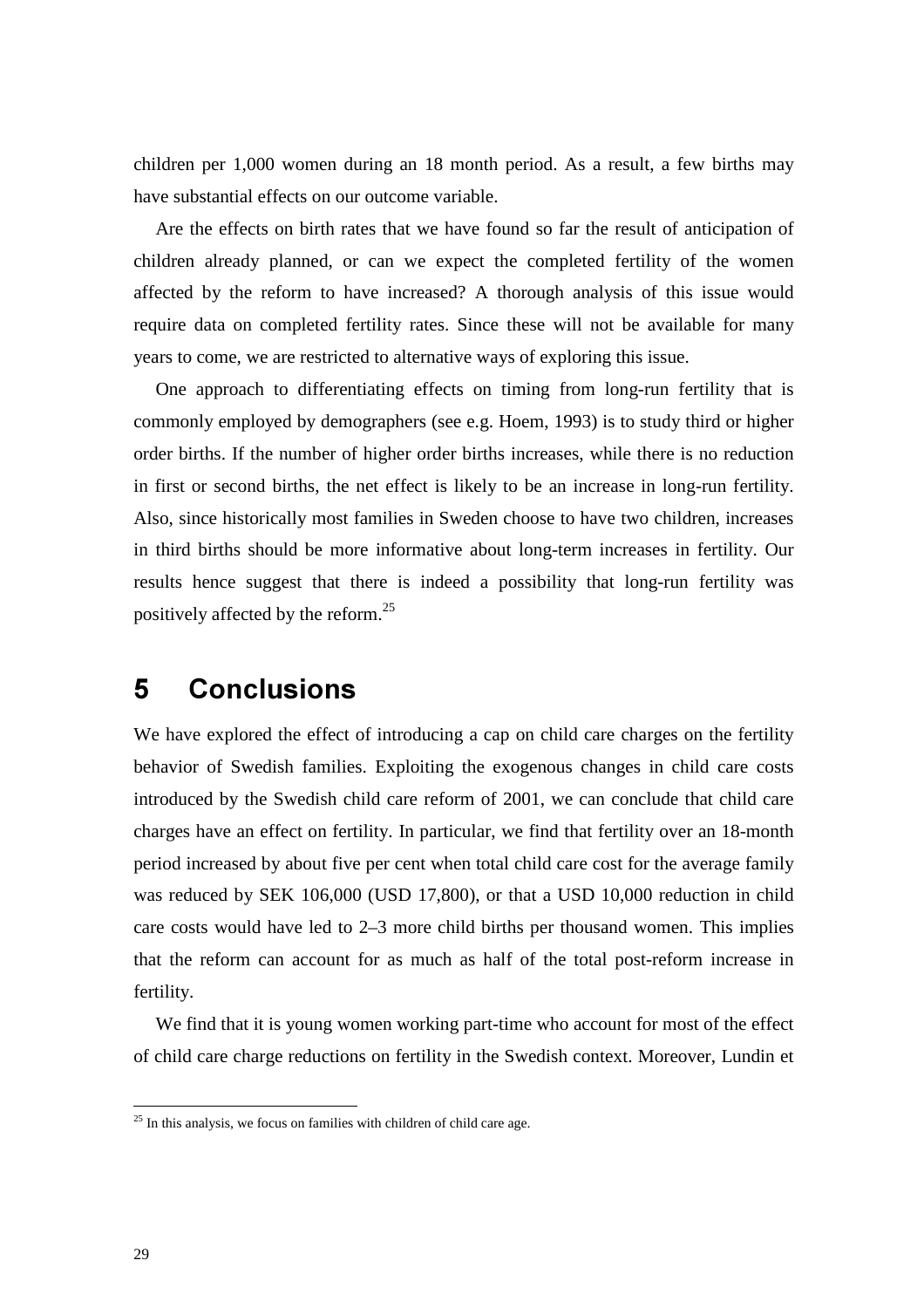children per 1,000 women during an 18 month period. As a result, a few births may have substantial effects on our outcome variable.

Are the effects on birth rates that we have found so far the result of anticipation of children already planned, or can we expect the completed fertility of the women affected by the reform to have increased? A thorough analysis of this issue would require data on completed fertility rates. Since these will not be available for many years to come, we are restricted to alternative ways of exploring this issue.

One approach to differentiating effects on timing from long-run fertility that is commonly employed by demographers (see e.g. Hoem, 1993) is to study third or higher order births. If the number of higher order births increases, while there is no reduction in first or second births, the net effect is likely to be an increase in long-run fertility. Also, since historically most families in Sweden choose to have two children, increases in third births should be more informative about long-term increases in fertility. Our results hence suggest that there is indeed a possibility that long-run fertility was positively affected by the reform.<sup>25</sup>

# **5** Conclusions

We have explored the effect of introducing a cap on child care charges on the fertility behavior of Swedish families. Exploiting the exogenous changes in child care costs introduced by the Swedish child care reform of 2001, we can conclude that child care charges have an effect on fertility. In particular, we find that fertility over an 18-month period increased by about five per cent when total child care cost for the average family was reduced by SEK 106,000 (USD 17,800), or that a USD 10,000 reduction in child care costs would have led to 2–3 more child births per thousand women. This implies that the reform can account for as much as half of the total post-reform increase in fertility.

We find that it is young women working part-time who account for most of the effect of child care charge reductions on fertility in the Swedish context. Moreover, Lundin et

 $25$  In this analysis, we focus on families with children of child care age.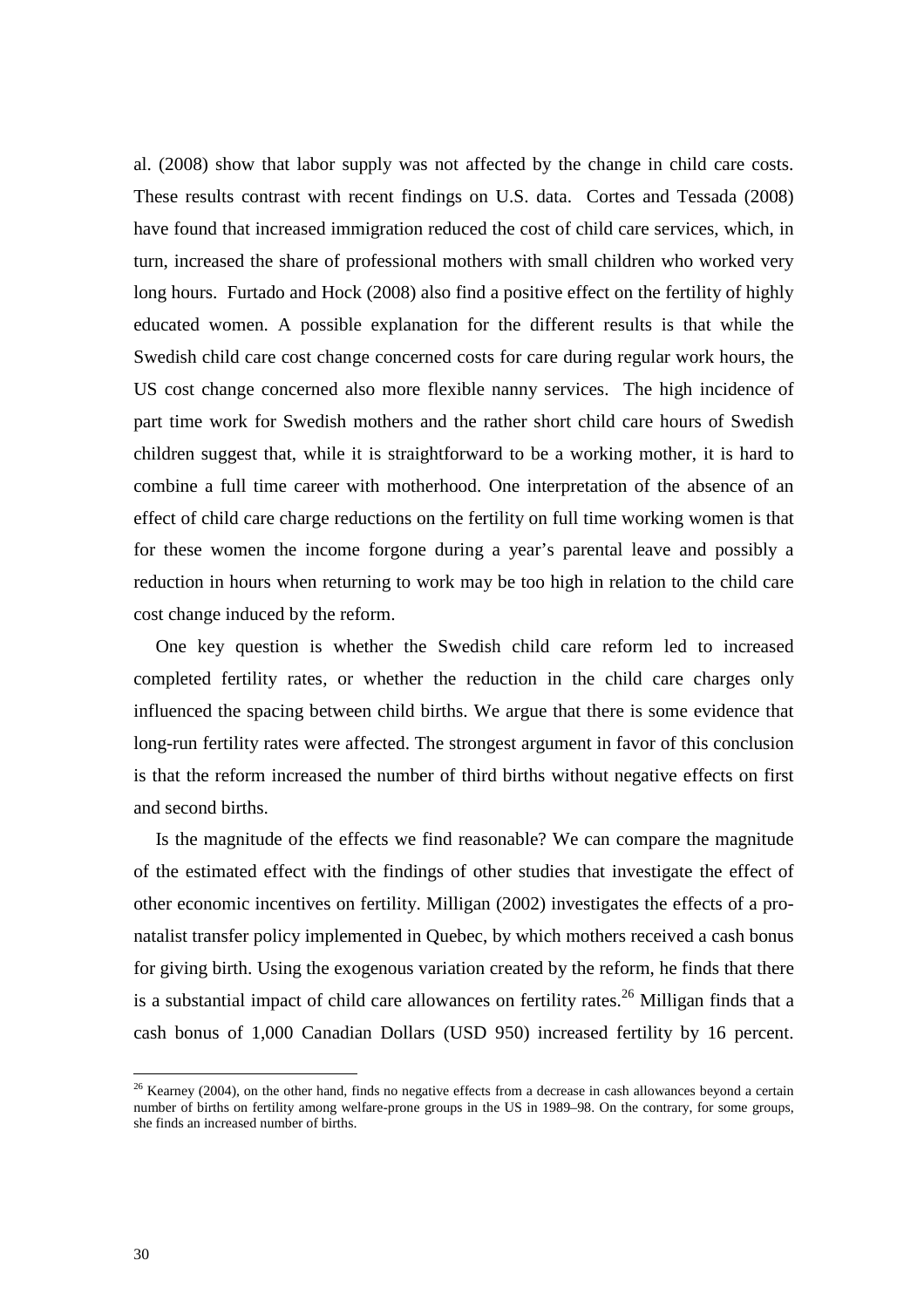al. (2008) show that labor supply was not affected by the change in child care costs. These results contrast with recent findings on U.S. data. Cortes and Tessada (2008) have found that increased immigration reduced the cost of child care services, which, in turn, increased the share of professional mothers with small children who worked very long hours. Furtado and Hock (2008) also find a positive effect on the fertility of highly educated women. A possible explanation for the different results is that while the Swedish child care cost change concerned costs for care during regular work hours, the US cost change concerned also more flexible nanny services. The high incidence of part time work for Swedish mothers and the rather short child care hours of Swedish children suggest that, while it is straightforward to be a working mother, it is hard to combine a full time career with motherhood. One interpretation of the absence of an effect of child care charge reductions on the fertility on full time working women is that for these women the income forgone during a year's parental leave and possibly a reduction in hours when returning to work may be too high in relation to the child care cost change induced by the reform.

One key question is whether the Swedish child care reform led to increased completed fertility rates, or whether the reduction in the child care charges only influenced the spacing between child births. We argue that there is some evidence that long-run fertility rates were affected. The strongest argument in favor of this conclusion is that the reform increased the number of third births without negative effects on first and second births.

Is the magnitude of the effects we find reasonable? We can compare the magnitude of the estimated effect with the findings of other studies that investigate the effect of other economic incentives on fertility. Milligan (2002) investigates the effects of a pronatalist transfer policy implemented in Quebec, by which mothers received a cash bonus for giving birth. Using the exogenous variation created by the reform, he finds that there is a substantial impact of child care allowances on fertility rates.<sup>26</sup> Milligan finds that a cash bonus of 1,000 Canadian Dollars (USD 950) increased fertility by 16 percent.

 $26$  Kearney (2004), on the other hand, finds no negative effects from a decrease in cash allowances beyond a certain number of births on fertility among welfare-prone groups in the US in 1989–98. On the contrary, for some groups, she finds an increased number of births.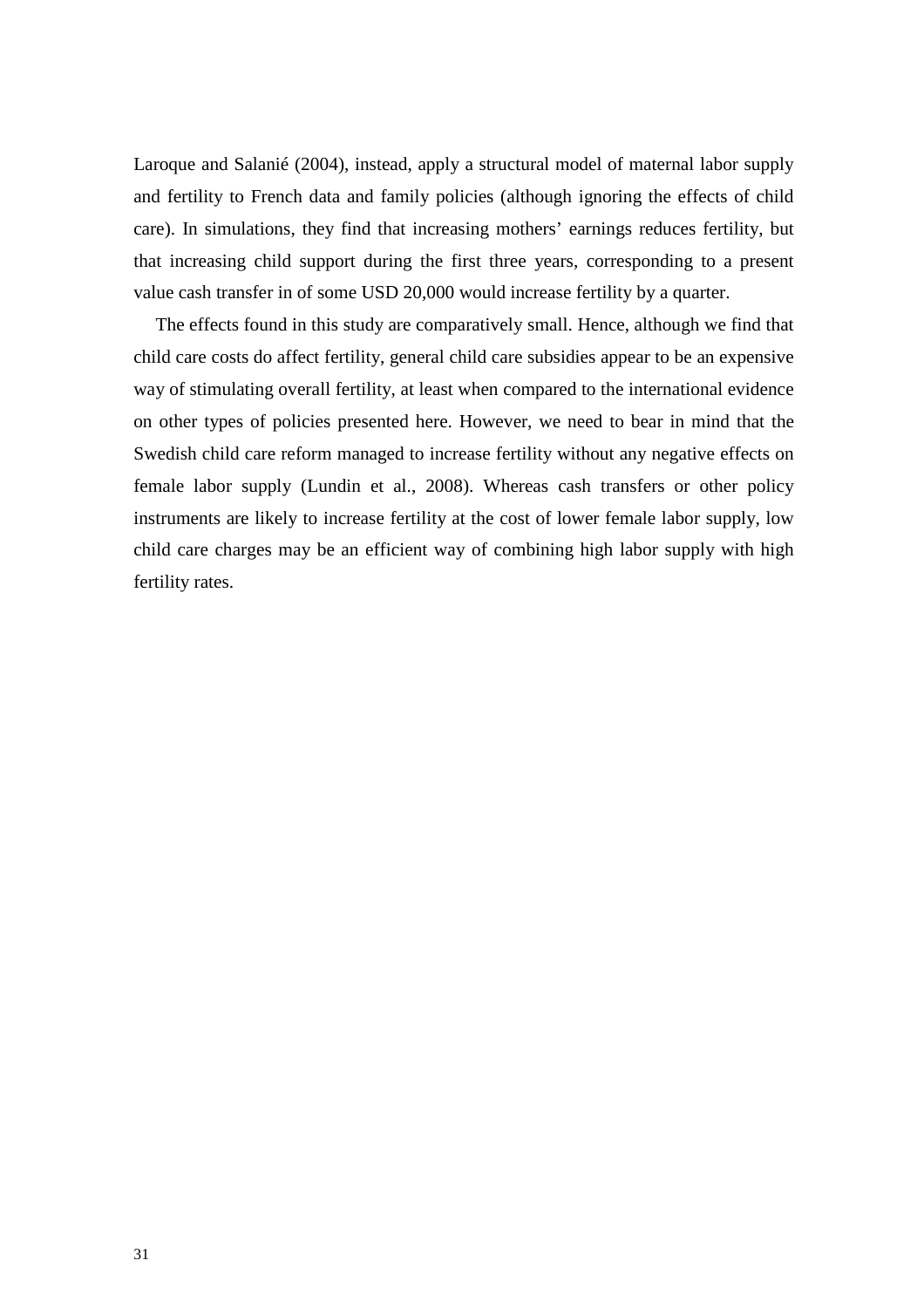Laroque and Salanié (2004), instead, apply a structural model of maternal labor supply and fertility to French data and family policies (although ignoring the effects of child care). In simulations, they find that increasing mothers' earnings reduces fertility, but that increasing child support during the first three years, corresponding to a present value cash transfer in of some USD 20,000 would increase fertility by a quarter.

The effects found in this study are comparatively small. Hence, although we find that child care costs do affect fertility, general child care subsidies appear to be an expensive way of stimulating overall fertility, at least when compared to the international evidence on other types of policies presented here. However, we need to bear in mind that the Swedish child care reform managed to increase fertility without any negative effects on female labor supply (Lundin et al., 2008). Whereas cash transfers or other policy instruments are likely to increase fertility at the cost of lower female labor supply, low child care charges may be an efficient way of combining high labor supply with high fertility rates.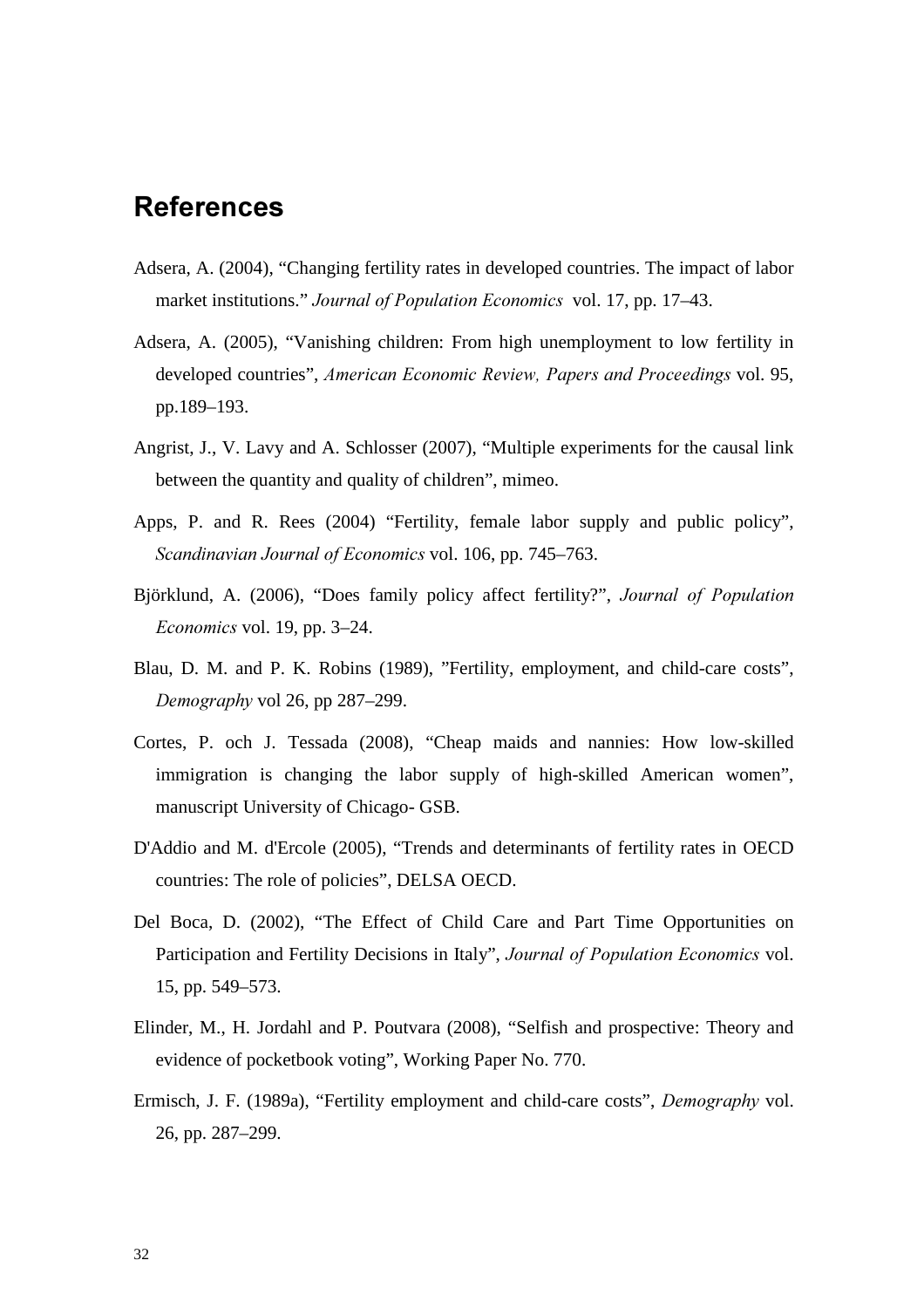# **References**

- Adsera, A. (2004), "Changing fertility rates in developed countries. The impact of labor market institutions." *Journal of Population Economics* vol. 17, pp. 17–43.
- Adsera, A. (2005), "Vanishing children: From high unemployment to low fertility in developed countries", *American Economic Review, Papers and Proceedings vol.* 95, pp.189–193.
- Angrist, J., V. Lavy and A. Schlosser (2007), "Multiple experiments for the causal link between the quantity and quality of children", mimeo.
- Apps, P. and R. Rees (2004) "Fertility, female labor supply and public policy", *Scandinavian Journal of Economics vol.* 106, pp. 745–763.
- Björklund, A. (2006), "Does family policy affect fertility?", *Journal of Population Economics* vol. 19, pp. 3–24.
- Blau, D. M. and P. K. Robins (1989), "Fertility, employment, and child-care costs", *Demography* vol 26, pp 287–299.
- Cortes, P. och J. Tessada (2008), "Cheap maids and nannies: How low-skilled immigration is changing the labor supply of high-skilled American women", manuscript University of Chicago- GSB.
- D'Addio and M. d'Ercole (2005), "Trends and determinants of fertility rates in OECD countries: The role of policies", DELSA OECD.
- Del Boca, D. (2002), "The Effect of Child Care and Part Time Opportunities on Participation and Fertility Decisions in Italy", *Journal of Population Economics* vol. 15, pp. 549–573.
- Elinder, M., H. Jordahl and P. Poutvara (2008), "Selfish and prospective: Theory and evidence of pocketbook voting", Working Paper No. 770.
- Ermisch, J. F. (1989a), "Fertility employment and child-care costs", *Demography* vol. 26, pp. 287–299.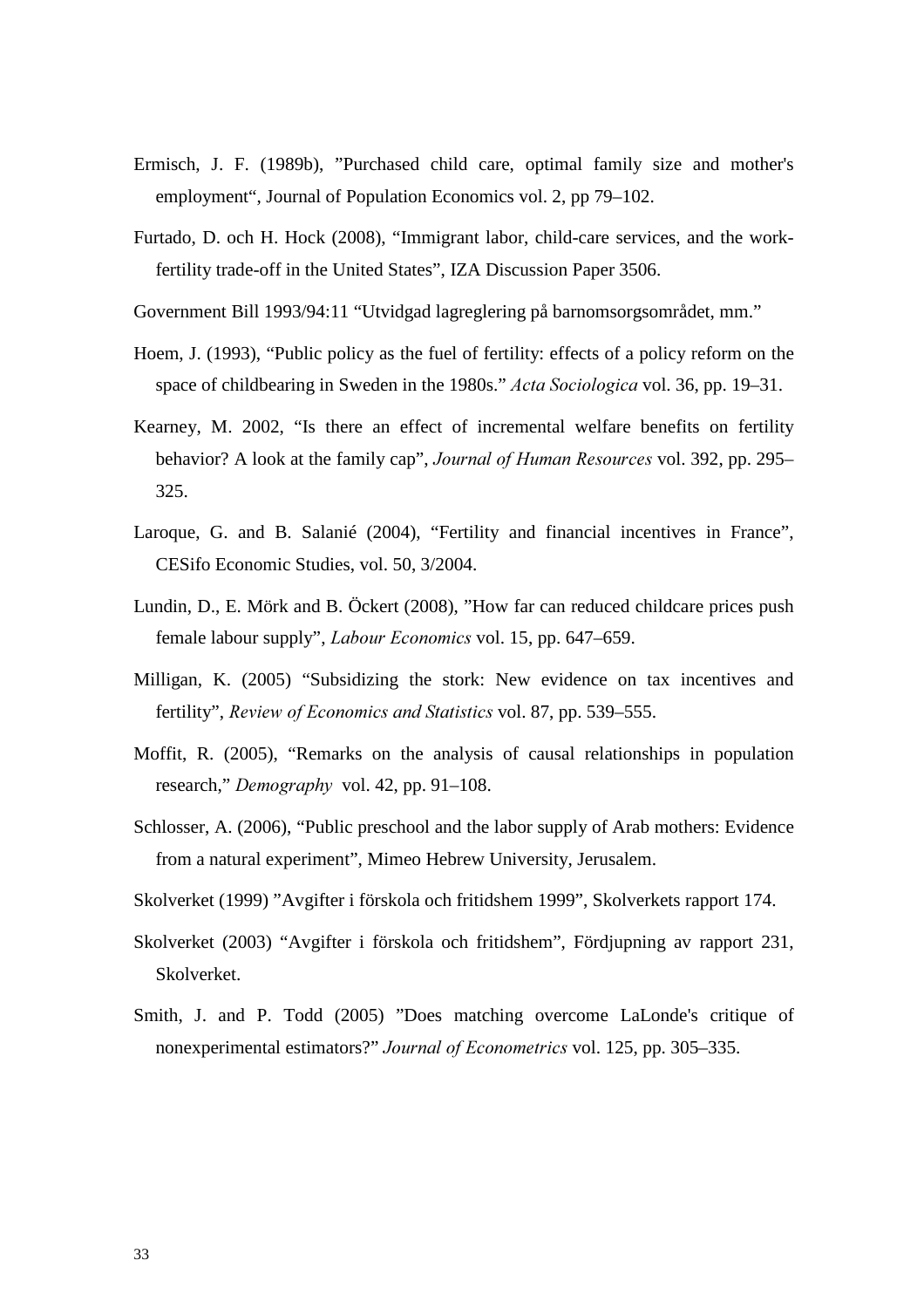- Ermisch, J. F. (1989b), "Purchased child care, optimal family size and mother's employment", Journal of Population Economics vol. 2, pp 79–102.
- Furtado, D. och H. Hock (2008), "Immigrant labor, child-care services, and the workfertility trade-off in the United States", IZA Discussion Paper 3506.
- Government Bill 1993/94:11 "Utvidgad lagreglering på barnomsorgsområdet, mm."
- Hoem, J. (1993), "Public policy as the fuel of fertility: effects of a policy reform on the space of childbearing in Sweden in the 1980s." *Acta Sociologica* vol. 36, pp. 19–31.
- Kearney, M. 2002, "Is there an effect of incremental welfare benefits on fertility behavior? A look at the family cap", *Journal of Human Resources* vol. 392, pp. 295– 325.
- Laroque, G. and B. Salanié (2004), "Fertility and financial incentives in France", CESifo Economic Studies, vol. 50, 3/2004.
- Lundin, D., E. Mörk and B. Öckert (2008), "How far can reduced childcare prices push female labour supply", *Labour Economics* vol. 15, pp. 647–659.
- Milligan, K. (2005) "Subsidizing the stork: New evidence on tax incentives and fertility", *Review of Economics and Statistics vol. 87*, pp. 539–555.
- Moffit, R. (2005), "Remarks on the analysis of causal relationships in population research," *Demography* vol. 42, pp. 91–108.
- Schlosser, A. (2006), "Public preschool and the labor supply of Arab mothers: Evidence from a natural experiment", Mimeo Hebrew University, Jerusalem.
- Skolverket (1999) "Avgifter i förskola och fritidshem 1999", Skolverkets rapport 174.
- Skolverket (2003) "Avgifter i förskola och fritidshem", Fördjupning av rapport 231, Skolverket.
- Smith, J. and P. Todd (2005) "Does matching overcome LaLonde's critique of nonexperimental estimators?" *Journal of Econometrics* vol. 125, pp. 305–335.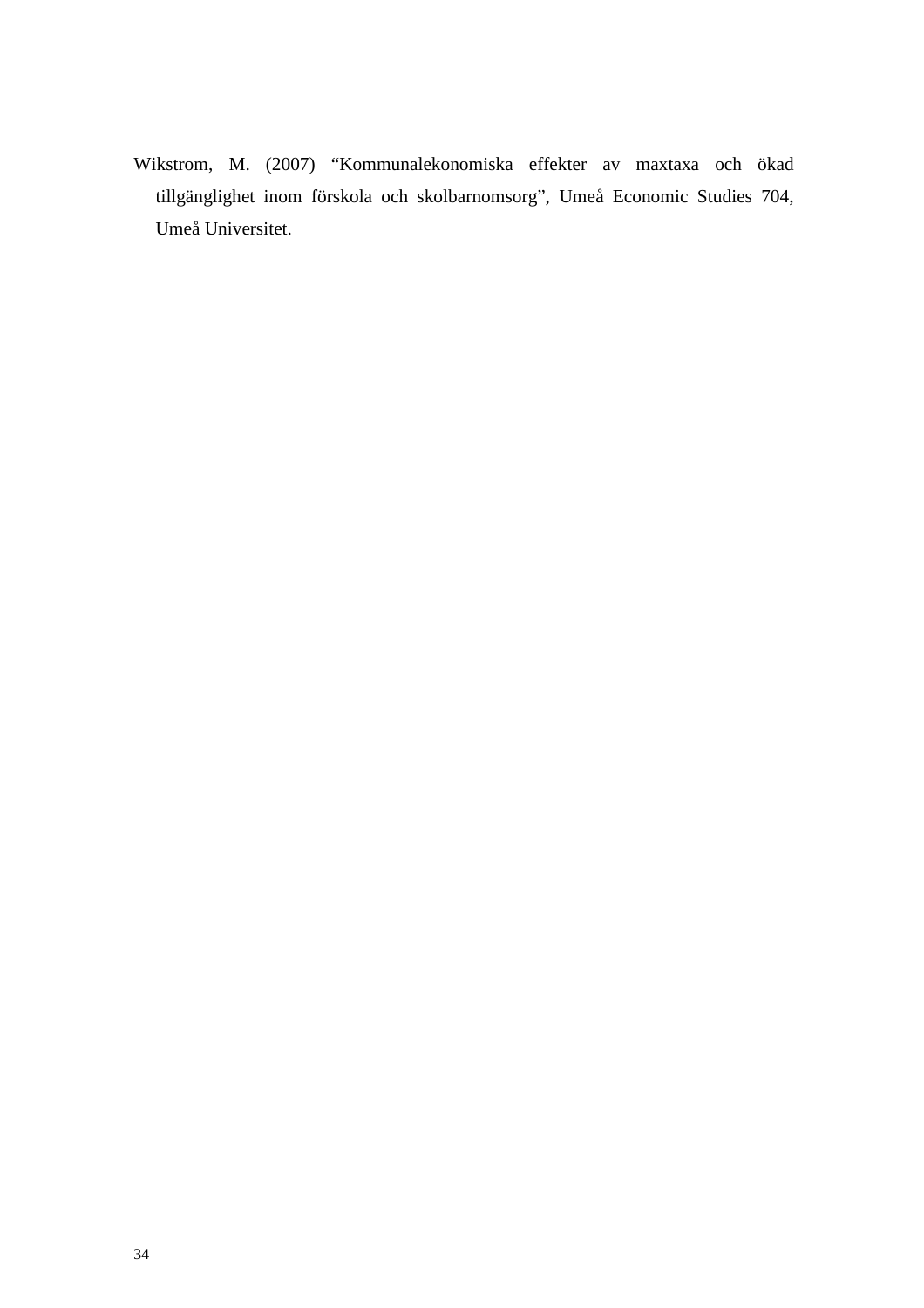Wikstrom, M. (2007) "Kommunalekonomiska effekter av maxtaxa och ökad tillgänglighet inom förskola och skolbarnomsorg", Umeå Economic Studies 704, Umeå Universitet.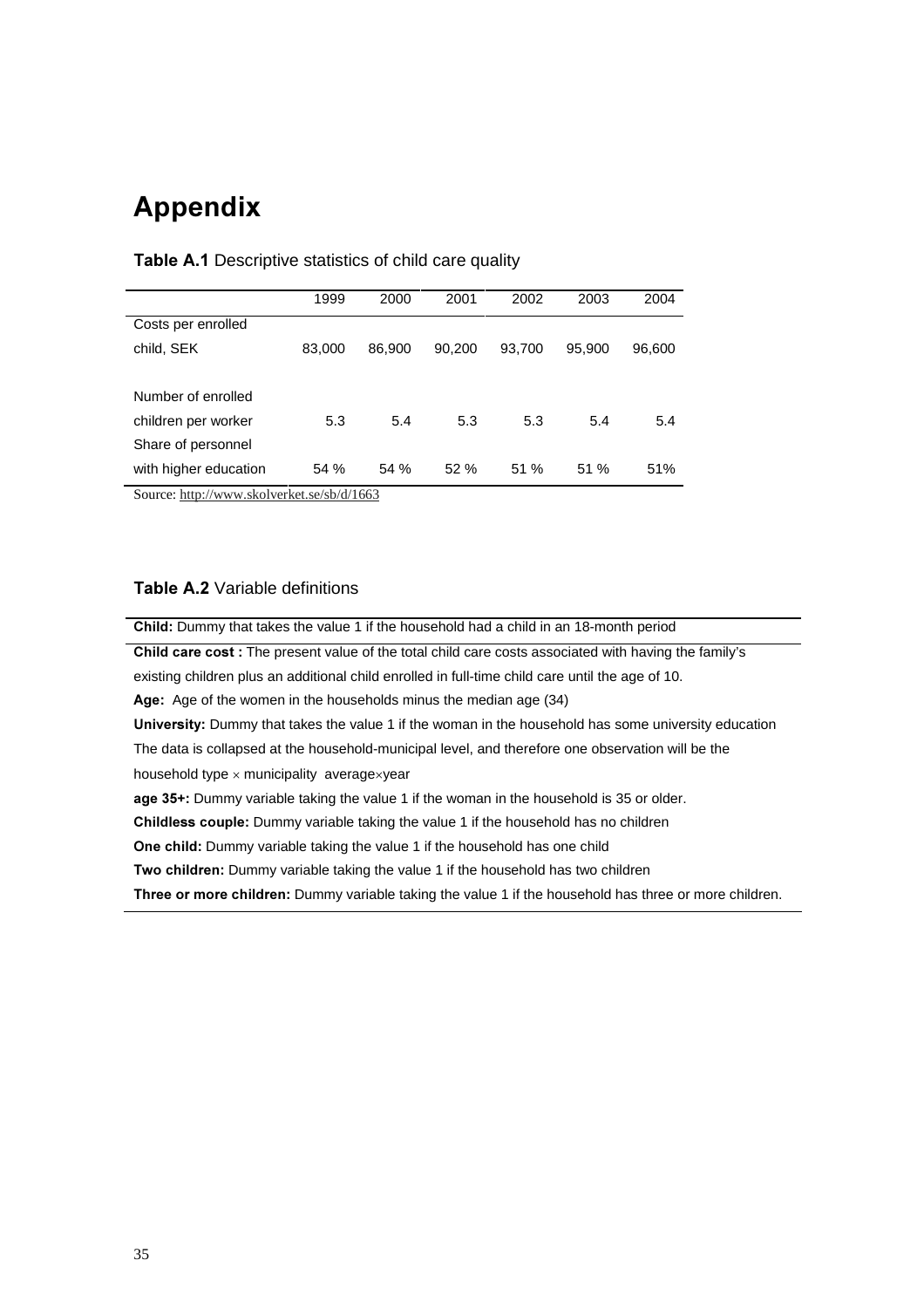# **Appendix**

|                       | 1999   | 2000   | 2001   | 2002   | 2003   | 2004   |
|-----------------------|--------|--------|--------|--------|--------|--------|
| Costs per enrolled    |        |        |        |        |        |        |
| child, SEK            | 83,000 | 86,900 | 90,200 | 93,700 | 95,900 | 96,600 |
|                       |        |        |        |        |        |        |
| Number of enrolled    |        |        |        |        |        |        |
| children per worker   | 5.3    | 5.4    | 5.3    | 5.3    | 5.4    | 5.4    |
| Share of personnel    |        |        |        |        |        |        |
| with higher education | 54 %   | 54 %   | 52%    | 51 %   | 51%    | 51%    |

### **Table A.1** Descriptive statistics of child care quality

Source: http://www.skolverket.se/sb/d/1663

### **Table A.2** Variable definitions

**Child:** Dummy that takes the value 1 if the household had a child in an 18-month period Child care cost : The present value of the total child care costs associated with having the family's existing children plus an additional child enrolled in full-time child care until the age of 10. Age: Age of the women in the households minus the median age (34) University: Dummy that takes the value 1 if the woman in the household has some university education The data is collapsed at the household-municipal level, and therefore one observation will be the household type  $\times$  municipality average $\times$ year age 35+: Dummy variable taking the value 1 if the woman in the household is 35 or older. Childless couple: Dummy variable taking the value 1 if the household has no children **One child:** Dummy variable taking the value 1 if the household has one child Two children: Dummy variable taking the value 1 if the household has two children **Three or more children:** Dummy variable taking the value 1 if the household has three or more children.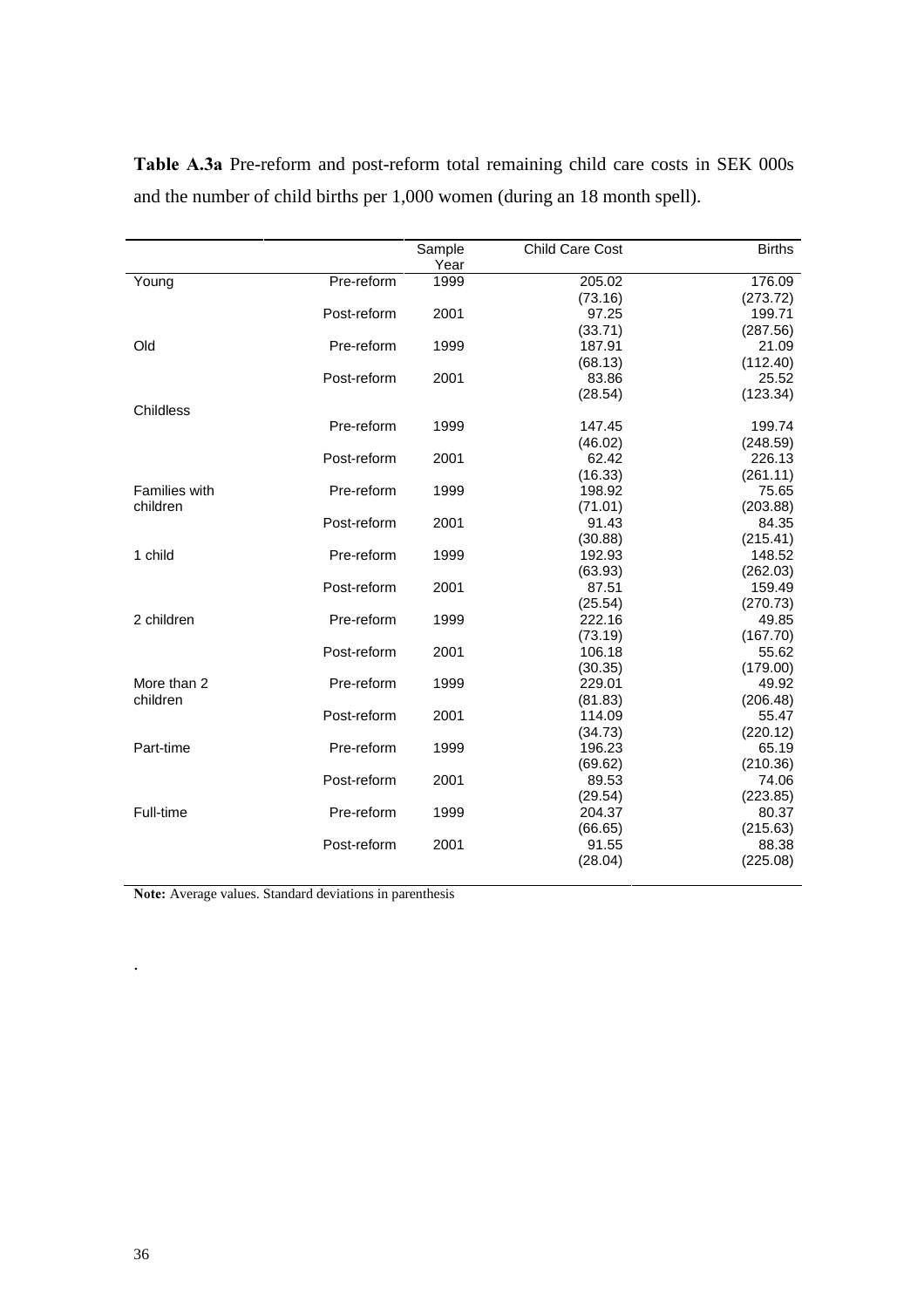|               |             | Sample | <b>Child Care Cost</b> | <b>Births</b> |
|---------------|-------------|--------|------------------------|---------------|
|               |             | Year   |                        |               |
| Young         | Pre-reform  | 1999   | 205.02                 | 176.09        |
|               |             |        | (73.16)                | (273.72)      |
|               | Post-reform | 2001   | 97.25                  | 199.71        |
|               |             |        | (33.71)                | (287.56)      |
| Old           | Pre-reform  | 1999   | 187.91                 | 21.09         |
|               |             |        | (68.13)                | (112.40)      |
|               | Post-reform | 2001   | 83.86                  | 25.52         |
|               |             |        | (28.54)                | (123.34)      |
| Childless     |             |        |                        |               |
|               | Pre-reform  | 1999   | 147.45                 | 199.74        |
|               |             |        | (46.02)                | (248.59)      |
|               | Post-reform | 2001   | 62.42                  | 226.13        |
|               |             |        | (16.33)                | (261.11)      |
| Families with | Pre-reform  | 1999   | 198.92                 | 75.65         |
| children      |             |        | (71.01)                | (203.88)      |
|               | Post-reform | 2001   | 91.43                  | 84.35         |
|               |             |        | (30.88)                | (215.41)      |
| 1 child       | Pre-reform  | 1999   | 192.93                 | 148.52        |
|               |             |        | (63.93)                | (262.03)      |
|               | Post-reform | 2001   | 87.51                  | 159.49        |
|               |             |        | (25.54)                | (270.73)      |
| 2 children    | Pre-reform  | 1999   | 222.16                 | 49.85         |
|               |             |        | (73.19)                | (167.70)      |
|               | Post-reform | 2001   | 106.18                 | 55.62         |
|               |             |        | (30.35)                | (179.00)      |
| More than 2   | Pre-reform  | 1999   | 229.01                 | 49.92         |
| children      |             |        | (81.83)                | (206.48)      |
|               | Post-reform | 2001   | 114.09                 | 55.47         |
|               |             |        | (34.73)                | (220.12)      |
| Part-time     | Pre-reform  | 1999   | 196.23                 | 65.19         |
|               |             |        | (69.62)                | (210.36)      |
|               | Post-reform | 2001   | 89.53                  | 74.06         |
|               |             |        | (29.54)                | (223.85)      |
| Full-time     | Pre-reform  | 1999   | 204.37                 | 80.37         |
|               |             |        | (66.65)                | (215.63)      |
|               | Post-reform | 2001   | 91.55                  | 88.38         |
|               |             |        | (28.04)                | (225.08)      |
|               |             |        |                        |               |

Table A.3a Pre-reform and post-reform total remaining child care costs in SEK 000s and the number of child births per 1,000 women (during an 18 month spell).

Note: Average values. Standard deviations in parenthesis

.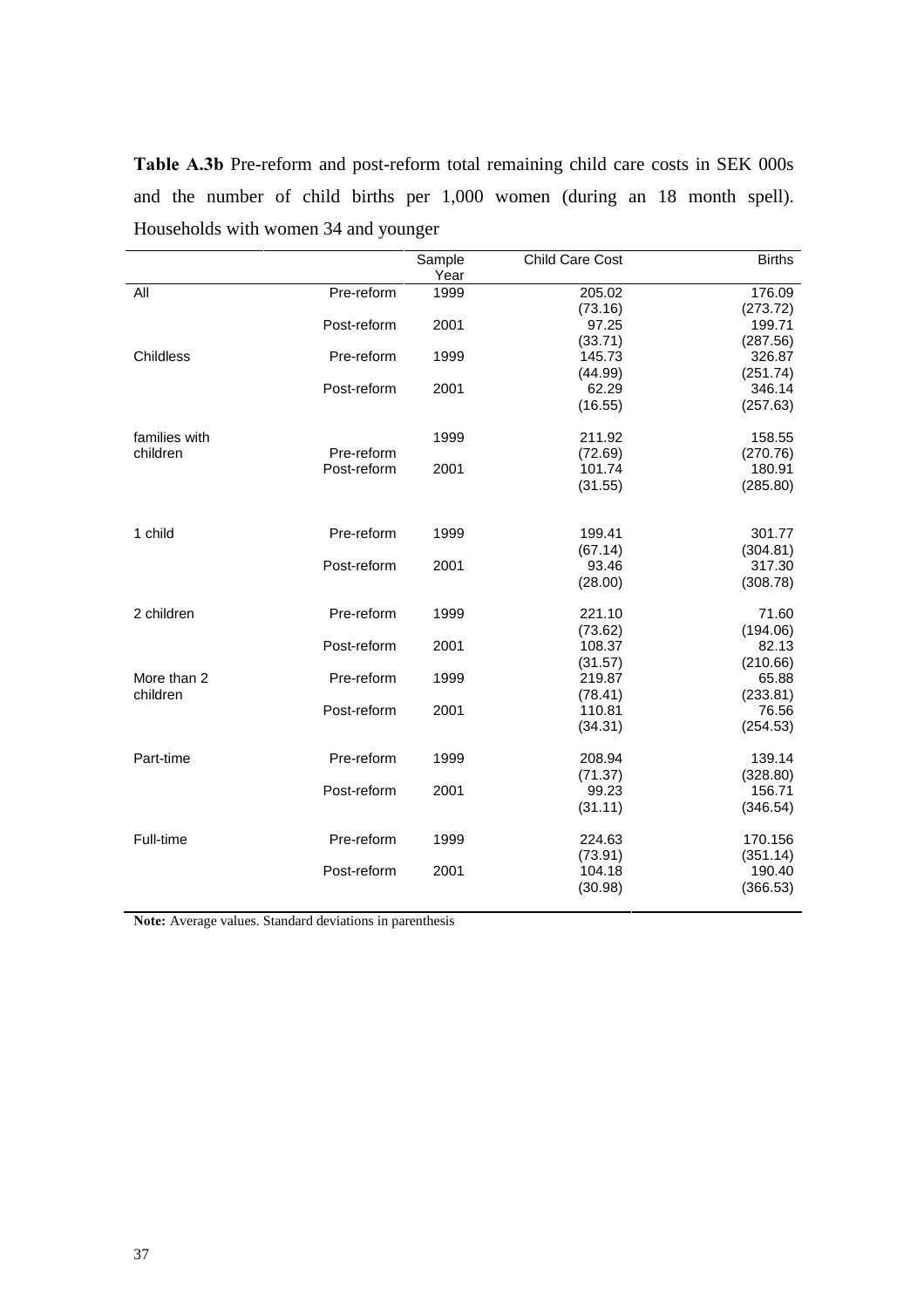Table A.3b Pre-reform and post-reform total remaining child care costs in SEK 000s and the number of child births per 1,000 women (during an 18 month spell). Households with women 34 and younger

|               |             | Sample<br>Year | <b>Child Care Cost</b> | <b>Births</b> |
|---------------|-------------|----------------|------------------------|---------------|
| All           | Pre-reform  | 1999           | 205.02                 | 176.09        |
|               |             |                | (73.16)                | (273.72)      |
|               | Post-reform | 2001           | 97.25                  | 199.71        |
|               |             |                | (33.71)                | (287.56)      |
| Childless     | Pre-reform  | 1999           | 145.73                 | 326.87        |
|               |             |                | (44.99)                | (251.74)      |
|               | Post-reform | 2001           | 62.29                  | 346.14        |
|               |             |                | (16.55)                | (257.63)      |
| families with |             | 1999           | 211.92                 | 158.55        |
| children      | Pre-reform  |                | (72.69)                | (270.76)      |
|               | Post-reform | 2001           | 101.74                 | 180.91        |
|               |             |                | (31.55)                | (285.80)      |
| 1 child       | Pre-reform  | 1999           | 199.41                 | 301.77        |
|               |             |                | (67.14)                | (304.81)      |
|               | Post-reform | 2001           | 93.46                  | 317.30        |
|               |             |                | (28.00)                | (308.78)      |
| 2 children    | Pre-reform  | 1999           | 221.10                 | 71.60         |
|               |             |                | (73.62)                | (194.06)      |
|               | Post-reform | 2001           | 108.37                 | 82.13         |
|               |             |                | (31.57)                | (210.66)      |
| More than 2   | Pre-reform  | 1999           | 219.87                 | 65.88         |
| children      |             |                | (78.41)                | (233.81)      |
|               | Post-reform | 2001           | 110.81                 | 76.56         |
|               |             |                | (34.31)                | (254.53)      |
| Part-time     | Pre-reform  | 1999           | 208.94                 | 139.14        |
|               |             |                | (71.37)                | (328.80)      |
|               | Post-reform | 2001           | 99.23                  | 156.71        |
|               |             |                | (31.11)                | (346.54)      |
| Full-time     | Pre-reform  | 1999           | 224.63                 | 170.156       |
|               |             |                | (73.91)                | (351.14)      |
|               | Post-reform | 2001           | 104.18                 | 190.40        |
|               |             |                | (30.98)                | (366.53)      |
|               |             |                |                        |               |

Note: Average values. Standard deviations in parenthesis